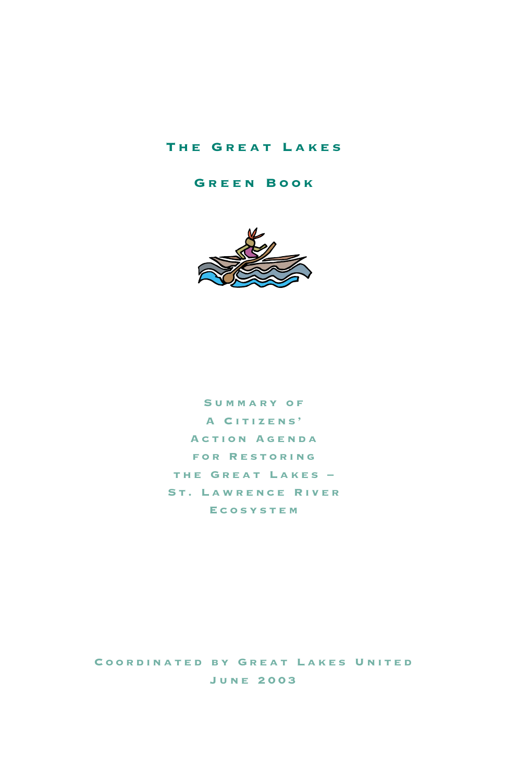#### The Great Lakes

Green Book



Summary of A Citizens' Action Agenda for Restoring the Great Lakes – St. Lawrence River Ecosystem

Coordinated by Great Lakes United June 2003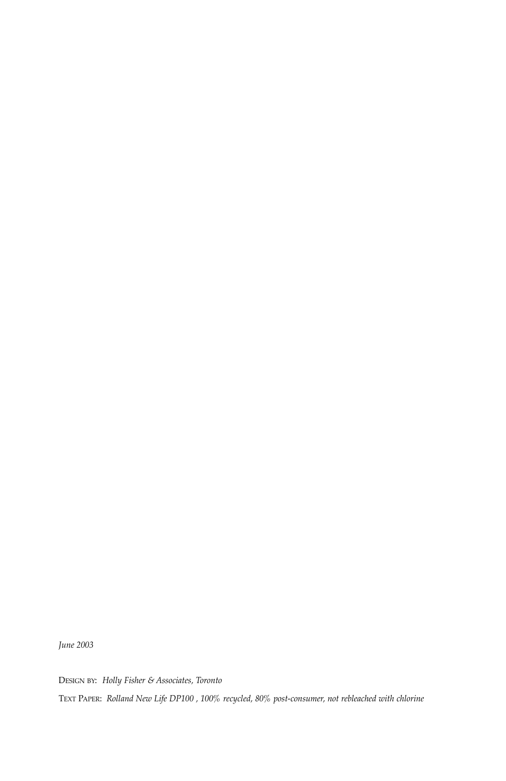*June 2003*

DESIGN BY: *Holly Fisher & Associates, Toronto* TEXT PAPER: *Rolland New Life DP100 , 100% recycled, 80% post-consumer, not rebleached with chlorine*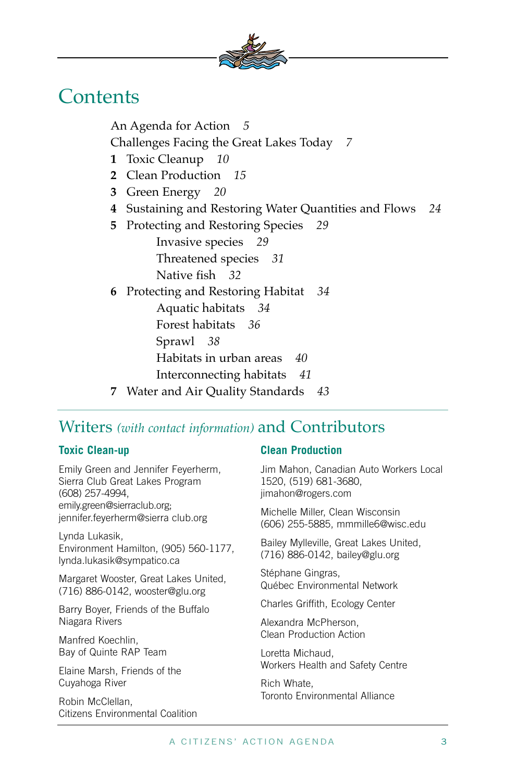

### **Contents**

An Agenda for Action *5* Challenges Facing the Great Lakes Today *7* **1** Toxic Cleanup *10* **2** Clean Production *15* **3** Green Energy *20* **4** Sustaining and Restoring Water Quantities and Flows *24* **5** Protecting and Restoring Species *29* Invasive species *29* Threatened species *31* Native fish *32* **6** Protecting and Restoring Habitat *34* Aquatic habitats *34* Forest habitats *36* Sprawl *38* Habitats in urban areas *40* Interconnecting habitats *41* **7** Water and Air Quality Standards *43*

### Writers *(with contact information)* and Contributors

#### **Toxic Clean-up**

Emily Green and Jennifer Feyerherm, Sierra Club Great Lakes Program (608) 257-4994, emily.green@sierraclub.org; jennifer.feyerherm@sierra club.org

Lynda Lukasik, Environment Hamilton, (905) 560-1177, lynda.lukasik@sympatico.ca

Margaret Wooster, Great Lakes United, (716) 886-0142, wooster@glu.org

Barry Boyer, Friends of the Buffalo Niagara Rivers

Manfred Koechlin, Bay of Quinte RAP Team

Elaine Marsh, Friends of the Cuyahoga River

Robin McClellan, Citizens Environmental Coalition

#### **Clean Production**

Jim Mahon, Canadian Auto Workers Local 1520, (519) 681-3680, jimahon@rogers.com

Michelle Miller, Clean Wisconsin (606) 255-5885, mmmille6@wisc.edu

Bailey Mylleville, Great Lakes United, (716) 886-0142, bailey@glu.org

Stéphane Gingras, Québec Environmental Network

Charles Griffith, Ecology Center

Alexandra McPherson, Clean Production Action

Loretta Michaud, Workers Health and Safety Centre

Rich Whate, Toronto Environmental Alliance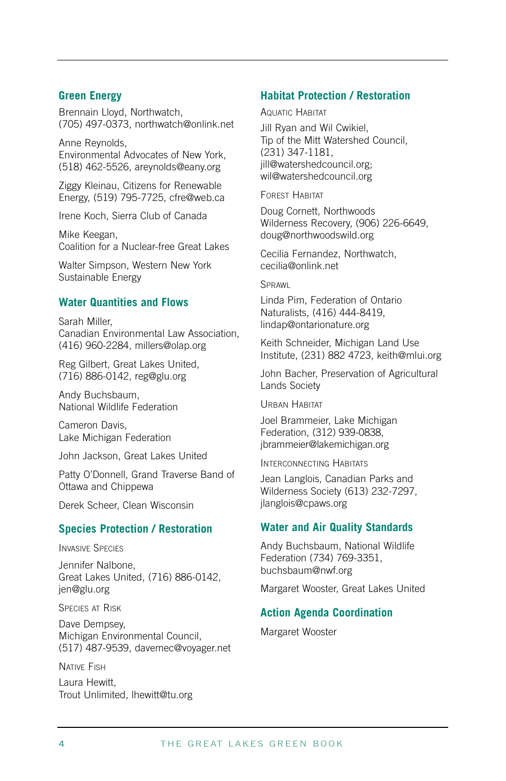#### **Green Energy**

Brennain Lloyd, Northwatch, (705) 497-0373, northwatch@onlink.net

Anne Reynolds, Environmental Advocates of New York, (518) 462-5526, areynolds@eany.org

Ziggy Kleinau, Citizens for Renewable Energy, (519) 795-7725, cfre@web.ca

Irene Koch, Sierra Club of Canada

Mike Keegan, Coalition for a Nuclear-free Great Lakes

Walter Simpson, Western New York Sustainable Energy

#### **Water Quantities and Flows**

Sarah Miller, Canadian Environmental Law Association, (416) 960-2284, millers@olap.org

Reg Gilbert, Great Lakes United, (716) 886-0142, reg@glu.org

Andy Buchsbaum, National Wildlife Federation

Cameron Davis, Lake Michigan Federation

John Jackson, Great Lakes United

Patty O'Donnell, Grand Traverse Band of Ottawa and Chippewa

Derek Scheer, Clean Wisconsin

#### **Species Protection / Restoration**

INVASIVE SPECIES

Jennifer Nalbone, Great Lakes United, (716) 886-0142, jen@glu.org

SPECIES AT RISK

Dave Dempsey, Michigan Environmental Council, (517) 487-9539, davemec@voyager.net

NATIVE FISH

Laura Hewitt, Trout Unlimited, lhewitt@tu.org

#### **Habitat Protection / Restoration**

AQUATIC HABITAT

Jill Ryan and Wil Cwikiel, Tip of the Mitt Watershed Council, (231) 347-1181, jill@watershedcouncil.org; wil@watershedcouncil.org

FOREST HABITAT

Doug Cornett, Northwoods Wilderness Recovery, (906) 226-6649, doug@northwoodswild.org

Cecilia Fernandez, Northwatch, cecilia@onlink.net

**SPRAWL** 

Linda Pim, Federation of Ontario Naturalists, (416) 444-8419, lindap@ontarionature.org

Keith Schneider, Michigan Land Use Institute, (231) 882 4723, keith@mlui.org

John Bacher, Preservation of Agricultural Lands Society

URBAN HABITAT

Joel Brammeier, Lake Michigan Federation, (312) 939-0838, jbrammeier@lakemichigan.org

INTERCONNECTING HABITATS

Jean Langlois, Canadian Parks and Wilderness Society (613) 232-7297, jlanglois@cpaws.org

#### **Water and Air Quality Standards**

Andy Buchsbaum, National Wildlife Federation (734) 769-3351, buchsbaum@nwf.org

Margaret Wooster, Great Lakes United

#### **Action Agenda Coordination**

Margaret Wooster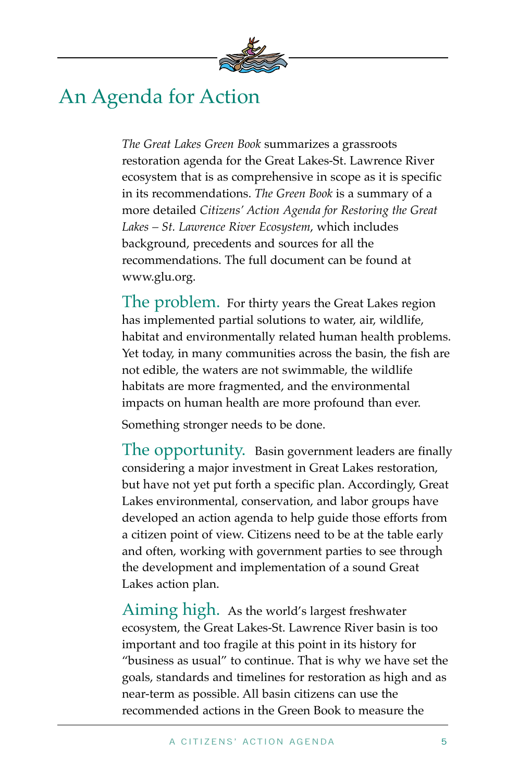

### An Agenda for Action

*The Great Lakes Green Book* summarizes a grassroots restoration agenda for the Great Lakes-St. Lawrence River ecosystem that is as comprehensive in scope as it is specific in its recommendations. *The Green Book* is a summary of a more detailed *Citizens' Action Agenda for Restoring the Great Lakes – St. Lawrence River Ecosystem*, which includes background, precedents and sources for all the recommendations. The full document can be found at www.glu.org.

The problem. For thirty years the Great Lakes region has implemented partial solutions to water, air, wildlife, habitat and environmentally related human health problems. Yet today, in many communities across the basin, the fish are not edible, the waters are not swimmable, the wildlife habitats are more fragmented, and the environmental impacts on human health are more profound than ever.

Something stronger needs to be done.

The opportunity. Basin government leaders are finally considering a major investment in Great Lakes restoration, but have not yet put forth a specific plan. Accordingly, Great Lakes environmental, conservation, and labor groups have developed an action agenda to help guide those efforts from a citizen point of view. Citizens need to be at the table early and often, working with government parties to see through the development and implementation of a sound Great Lakes action plan.

Aiming high. As the world's largest freshwater ecosystem, the Great Lakes-St. Lawrence River basin is too important and too fragile at this point in its history for "business as usual" to continue. That is why we have set the goals, standards and timelines for restoration as high and as near-term as possible. All basin citizens can use the recommended actions in the Green Book to measure the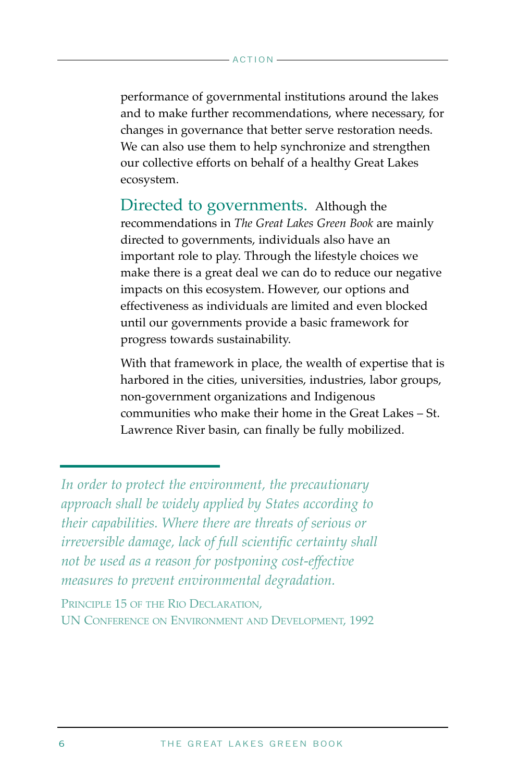performance of governmental institutions around the lakes and to make further recommendations, where necessary, for changes in governance that better serve restoration needs. We can also use them to help synchronize and strengthen our collective efforts on behalf of a healthy Great Lakes ecosystem.

Directed to governments. Although the recommendations in *The Great Lakes Green Book* are mainly directed to governments, individuals also have an important role to play. Through the lifestyle choices we make there is a great deal we can do to reduce our negative impacts on this ecosystem. However, our options and effectiveness as individuals are limited and even blocked until our governments provide a basic framework for progress towards sustainability.

With that framework in place, the wealth of expertise that is harbored in the cities, universities, industries, labor groups, non-government organizations and Indigenous communities who make their home in the Great Lakes – St. Lawrence River basin, can finally be fully mobilized.

PRINCIPLE 15 OF THE RIO DECLARATION. UN CONFERENCE ON ENVIRONMENT AND DEVELOPMENT, 1992

*In order to protect the environment, the precautionary approach shall be widely applied by States according to their capabilities. Where there are threats of serious or irreversible damage, lack of full scientific certainty shall not be used as a reason for postponing cost-effective measures to prevent environmental degradation.*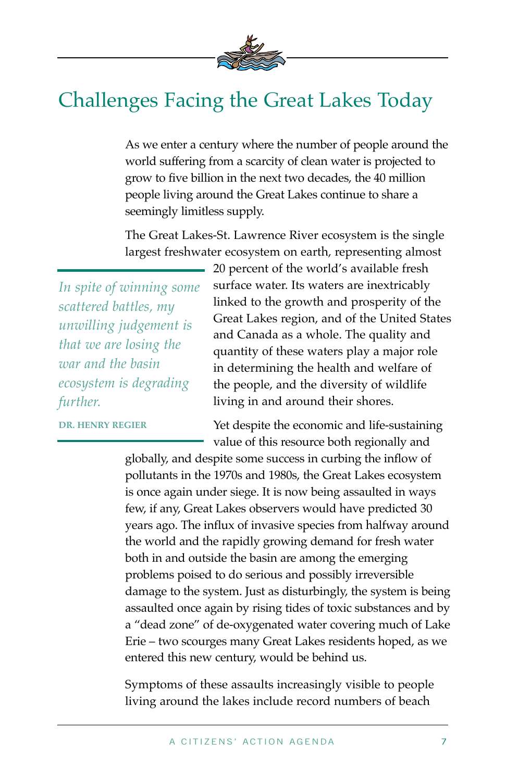

## Challenges Facing the Great Lakes Today

As we enter a century where the number of people around the world suffering from a scarcity of clean water is projected to grow to five billion in the next two decades, the 40 million people living around the Great Lakes continue to share a seemingly limitless supply.

The Great Lakes-St. Lawrence River ecosystem is the single largest freshwater ecosystem on earth, representing almost

*In spite of winning some scattered battles, my unwilling judgement is that we are losing the war and the basin ecosystem is degrading further.* 

**DR. HENRY REGIER**

20 percent of the world's available fresh surface water. Its waters are inextricably linked to the growth and prosperity of the Great Lakes region, and of the United States and Canada as a whole. The quality and quantity of these waters play a major role in determining the health and welfare of the people, and the diversity of wildlife living in and around their shores.

Yet despite the economic and life-sustaining value of this resource both regionally and

globally, and despite some success in curbing the inflow of pollutants in the 1970s and 1980s, the Great Lakes ecosystem is once again under siege. It is now being assaulted in ways few, if any, Great Lakes observers would have predicted 30 years ago. The influx of invasive species from halfway around the world and the rapidly growing demand for fresh water both in and outside the basin are among the emerging problems poised to do serious and possibly irreversible damage to the system. Just as disturbingly, the system is being assaulted once again by rising tides of toxic substances and by a "dead zone" of de-oxygenated water covering much of Lake Erie – two scourges many Great Lakes residents hoped, as we entered this new century, would be behind us.

Symptoms of these assaults increasingly visible to people living around the lakes include record numbers of beach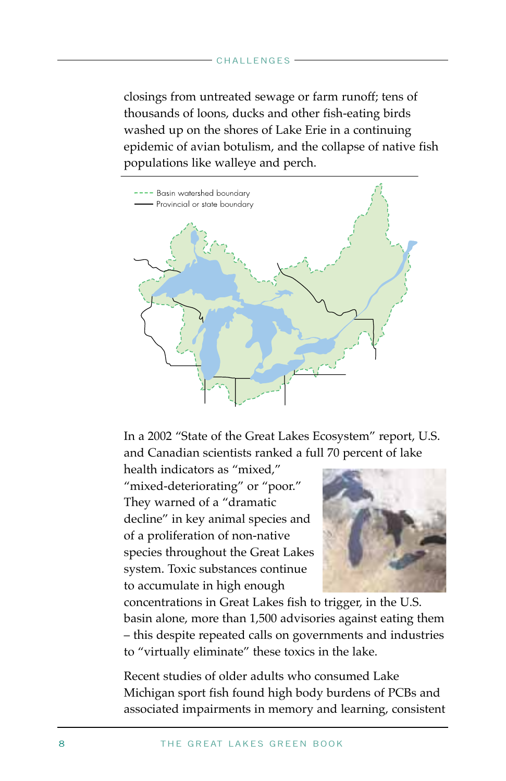#### CHALLENGES

closings from untreated sewage or farm runoff; tens of thousands of loons, ducks and other fish-eating birds washed up on the shores of Lake Erie in a continuing epidemic of avian botulism, and the collapse of native fish populations like walleye and perch.



In a 2002 "State of the Great Lakes Ecosystem" report, U.S. and Canadian scientists ranked a full 70 percent of lake

health indicators as "mixed," "mixed-deteriorating" or "poor." They warned of a "dramatic decline" in key animal species and of a proliferation of non-native species throughout the Great Lakes system. Toxic substances continue to accumulate in high enough



concentrations in Great Lakes fish to trigger, in the U.S. basin alone, more than 1,500 advisories against eating them – this despite repeated calls on governments and industries to "virtually eliminate" these toxics in the lake.

Recent studies of older adults who consumed Lake Michigan sport fish found high body burdens of PCBs and associated impairments in memory and learning, consistent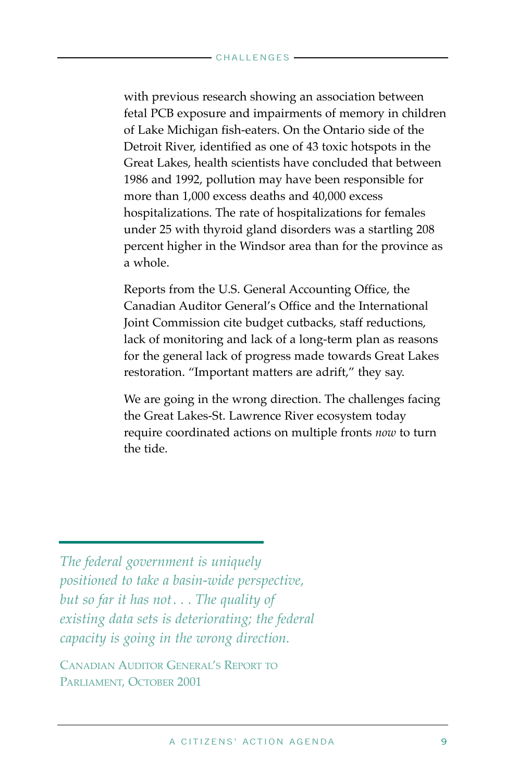with previous research showing an association between fetal PCB exposure and impairments of memory in children of Lake Michigan fish-eaters. On the Ontario side of the Detroit River, identified as one of 43 toxic hotspots in the Great Lakes, health scientists have concluded that between 1986 and 1992, pollution may have been responsible for more than 1,000 excess deaths and 40,000 excess hospitalizations. The rate of hospitalizations for females under 25 with thyroid gland disorders was a startling 208 percent higher in the Windsor area than for the province as a whole.

Reports from the U.S. General Accounting Office, the Canadian Auditor General's Office and the International Joint Commission cite budget cutbacks, staff reductions, lack of monitoring and lack of a long-term plan as reasons for the general lack of progress made towards Great Lakes restoration. "Important matters are adrift," they say.

We are going in the wrong direction. The challenges facing the Great Lakes-St. Lawrence River ecosystem today require coordinated actions on multiple fronts *now* to turn the tide.

*The federal government is uniquely positioned to take a basin-wide perspective, but so far it has not . . . The quality of existing data sets is deteriorating; the federal capacity is going in the wrong direction.*

CANADIAN AUDITOR GENERAL'S REPORT TO PARLIAMENT, OCTOBER 2001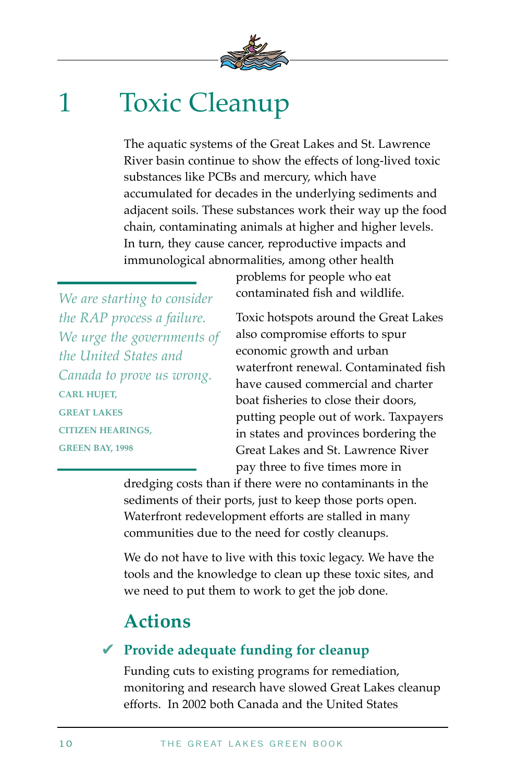

## 1 Toxic Cleanup

The aquatic systems of the Great Lakes and St. Lawrence River basin continue to show the effects of long-lived toxic substances like PCBs and mercury, which have accumulated for decades in the underlying sediments and adjacent soils. These substances work their way up the food chain, contaminating animals at higher and higher levels. In turn, they cause cancer, reproductive impacts and immunological abnormalities, among other health

*We are starting to consider the RAP process a failure. We urge the governments of the United States and Canada to prove us wrong.*  **CARL HUJET, GREAT LAKES CITIZEN HEARINGS, GREEN BAY, 1998** 

problems for people who eat contaminated fish and wildlife.

Toxic hotspots around the Great Lakes also compromise efforts to spur economic growth and urban waterfront renewal. Contaminated fish have caused commercial and charter boat fisheries to close their doors, putting people out of work. Taxpayers in states and provinces bordering the Great Lakes and St. Lawrence River pay three to five times more in

dredging costs than if there were no contaminants in the sediments of their ports, just to keep those ports open. Waterfront redevelopment efforts are stalled in many communities due to the need for costly cleanups.

We do not have to live with this toxic legacy. We have the tools and the knowledge to clean up these toxic sites, and we need to put them to work to get the job done.

### **Actions**

### **Provide adequate funding for cleanup** ✔

Funding cuts to existing programs for remediation, monitoring and research have slowed Great Lakes cleanup efforts. In 2002 both Canada and the United States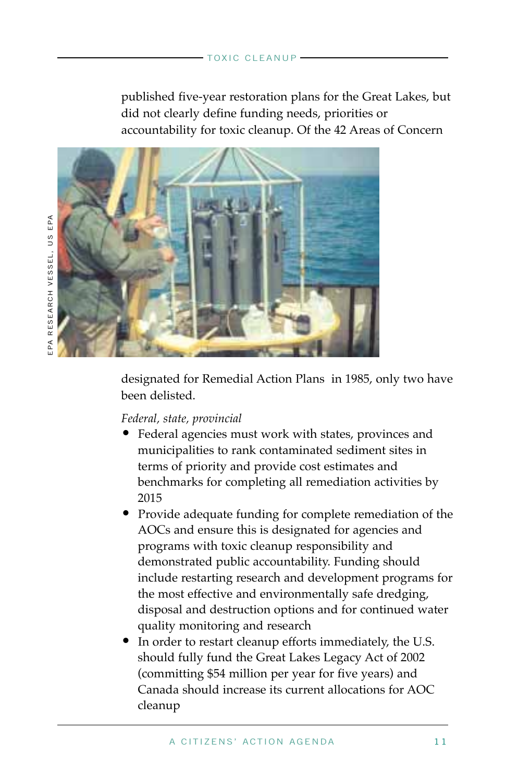published five-year restoration plans for the Great Lakes, but did not clearly define funding needs, priorities or accountability for toxic cleanup. Of the 42 Areas of Concern



designated for Remedial Action Plans in 1985, only two have been delisted.

#### *Federal, state, provincial*

- Federal agencies must work with states, provinces and municipalities to rank contaminated sediment sites in terms of priority and provide cost estimates and benchmarks for completing all remediation activities by 2015
- Provide adequate funding for complete remediation of the AOCs and ensure this is designated for agencies and programs with toxic cleanup responsibility and demonstrated public accountability. Funding should include restarting research and development programs for the most effective and environmentally safe dredging, disposal and destruction options and for continued water quality monitoring and research
- In order to restart cleanup efforts immediately, the U.S. should fully fund the Great Lakes Legacy Act of 2002 (committing \$54 million per year for five years) and Canada should increase its current allocations for AOC cleanup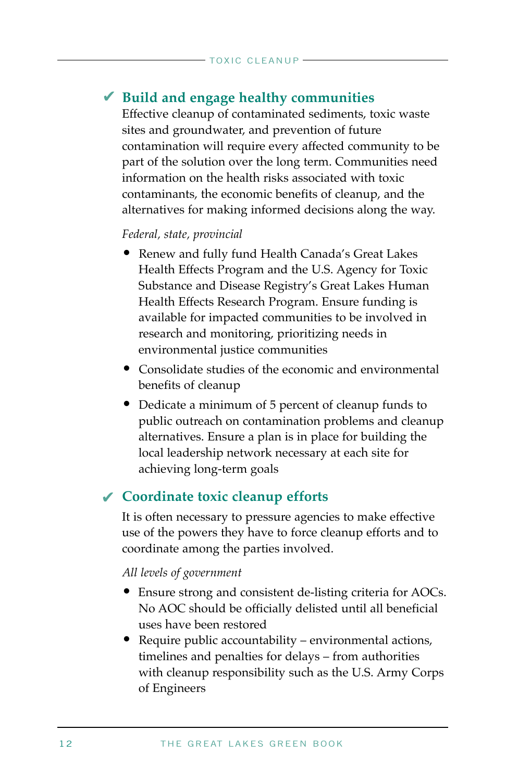### **Build and engage healthy communities** ✔

Effective cleanup of contaminated sediments, toxic waste sites and groundwater, and prevention of future contamination will require every affected community to be part of the solution over the long term. Communities need information on the health risks associated with toxic contaminants, the economic benefits of cleanup, and the alternatives for making informed decisions along the way.

#### *Federal, state, provincial*

- Renew and fully fund Health Canada's Great Lakes Health Effects Program and the U.S. Agency for Toxic Substance and Disease Registry's Great Lakes Human Health Effects Research Program. Ensure funding is available for impacted communities to be involved in research and monitoring, prioritizing needs in environmental justice communities
- Consolidate studies of the economic and environmental benefits of cleanup
- Dedicate a minimum of 5 percent of cleanup funds to public outreach on contamination problems and cleanup alternatives. Ensure a plan is in place for building the local leadership network necessary at each site for achieving long-term goals

### **Coordinate toxic cleanup efforts**  ✔

It is often necessary to pressure agencies to make effective use of the powers they have to force cleanup efforts and to coordinate among the parties involved.

#### *All levels of government*

- Ensure strong and consistent de-listing criteria for AOCs. No AOC should be officially delisted until all beneficial uses have been restored
- Require public accountability environmental actions, timelines and penalties for delays – from authorities with cleanup responsibility such as the U.S. Army Corps of Engineers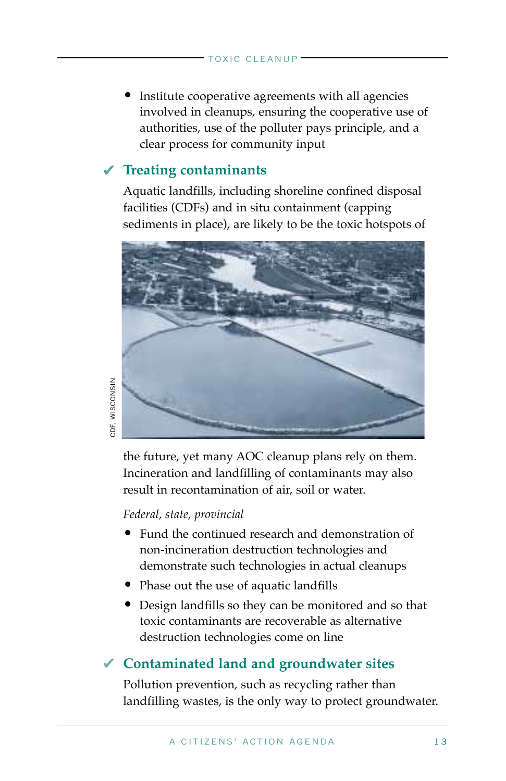• Institute cooperative agreements with all agencies involved in cleanups, ensuring the cooperative use of authorities, use of the polluter pays principle, and a clear process for community input

### **Treating contaminants** ✔

Aquatic landfills, including shoreline confined disposal facilities (CDFs) and in situ containment (capping sediments in place), are likely to be the toxic hotspots of



CDF, WISCONSIN CDF, WISCONSIN

> the future, yet many AOC cleanup plans rely on them. Incineration and landfilling of contaminants may also result in recontamination of air, soil or water.

#### *Federal, state, provincial*

- Fund the continued research and demonstration of non-incineration destruction technologies and demonstrate such technologies in actual cleanups
- Phase out the use of aquatic landfills
- Design landfills so they can be monitored and so that toxic contaminants are recoverable as alternative destruction technologies come on line

### **Contaminated land and groundwater sites** ✔

Pollution prevention, such as recycling rather than landfilling wastes, is the only way to protect groundwater.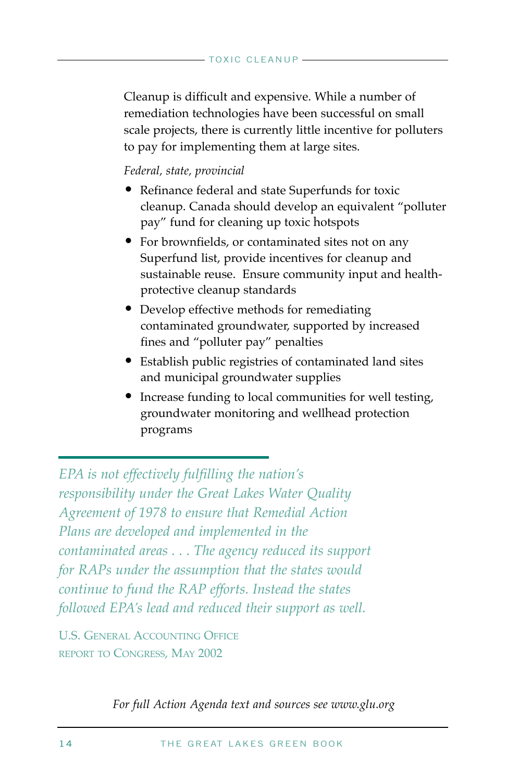Cleanup is difficult and expensive. While a number of remediation technologies have been successful on small scale projects, there is currently little incentive for polluters to pay for implementing them at large sites.

#### *Federal, state, provincial*

- Refinance federal and state Superfunds for toxic cleanup. Canada should develop an equivalent "polluter pay" fund for cleaning up toxic hotspots
- For brownfields, or contaminated sites not on any Superfund list, provide incentives for cleanup and sustainable reuse. Ensure community input and healthprotective cleanup standards
- Develop effective methods for remediating contaminated groundwater, supported by increased fines and "polluter pay" penalties
- Establish public registries of contaminated land sites and municipal groundwater supplies
- Increase funding to local communities for well testing, groundwater monitoring and wellhead protection programs

*EPA is not effectively fulfilling the nation's responsibility under the Great Lakes Water Quality Agreement of 1978 to ensure that Remedial Action Plans are developed and implemented in the contaminated areas . . . The agency reduced its support for RAPs under the assumption that the states would continue to fund the RAP efforts. Instead the states followed EPA's lead and reduced their support as well.* 

U.S. GENERAL ACCOUNTING OFFICE REPORT TO CONGRESS, MAY 2002

*For full Action Agenda text and sources see www.glu.org*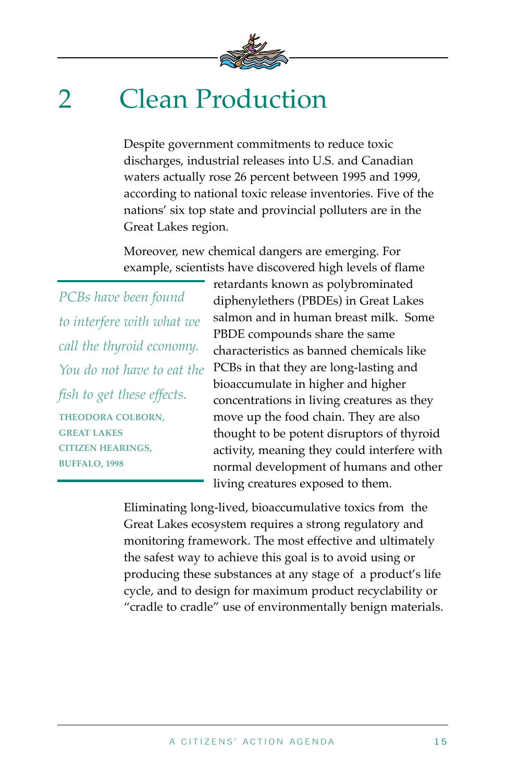

# 2 Clean Production

Despite government commitments to reduce toxic discharges, industrial releases into U.S. and Canadian waters actually rose 26 percent between 1995 and 1999, according to national toxic release inventories. Five of the nations' six top state and provincial polluters are in the Great Lakes region.

Moreover, new chemical dangers are emerging. For example, scientists have discovered high levels of flame

*PCBs have been found to interfere with what we call the thyroid economy. You do not have to eat the fish to get these effects.*  **THEODORA COLBORN, GREAT LAKES CITIZEN HEARINGS, BUFFALO, 1998** 

retardants known as polybrominated diphenylethers (PBDEs) in Great Lakes salmon and in human breast milk. Some PBDE compounds share the same characteristics as banned chemicals like PCBs in that they are long-lasting and bioaccumulate in higher and higher concentrations in living creatures as they move up the food chain. They are also thought to be potent disruptors of thyroid activity, meaning they could interfere with normal development of humans and other living creatures exposed to them.

Eliminating long-lived, bioaccumulative toxics from the Great Lakes ecosystem requires a strong regulatory and monitoring framework. The most effective and ultimately the safest way to achieve this goal is to avoid using or producing these substances at any stage of a product's life cycle, and to design for maximum product recyclability or "cradle to cradle" use of environmentally benign materials.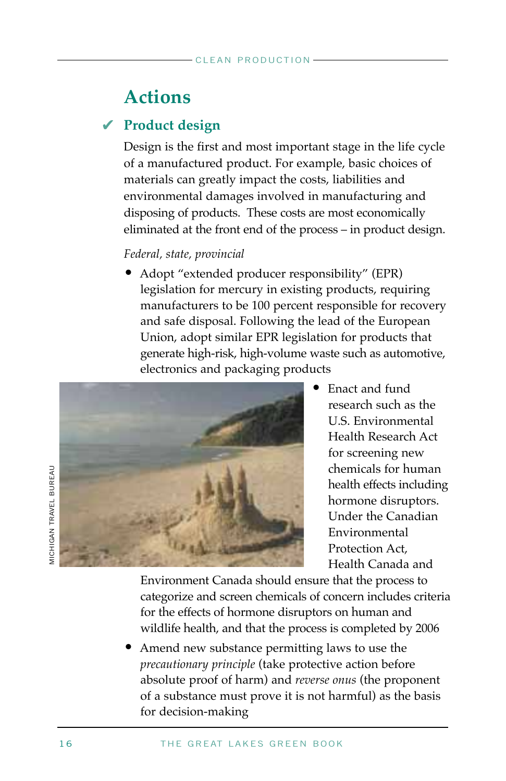### **Actions**

### **Product design** ✔

Design is the first and most important stage in the life cycle of a manufactured product. For example, basic choices of materials can greatly impact the costs, liabilities and environmental damages involved in manufacturing and disposing of products. These costs are most economically eliminated at the front end of the process – in product design.

#### *Federal, state, provincial*

• Adopt "extended producer responsibility" (EPR) legislation for mercury in existing products, requiring manufacturers to be 100 percent responsible for recovery and safe disposal. Following the lead of the European Union, adopt similar EPR legislation for products that generate high-risk, high-volume waste such as automotive, electronics and packaging products



• Enact and fund research such as the U.S. Environmental Health Research Act for screening new chemicals for human health effects including hormone disruptors. Under the Canadian Environmental Protection Act, Health Canada and

Environment Canada should ensure that the process to categorize and screen chemicals of concern includes criteria for the effects of hormone disruptors on human and wildlife health, and that the process is completed by 2006

• Amend new substance permitting laws to use the *precautionary principle* (take protective action before absolute proof of harm) and *reverse onus* (the proponent of a substance must prove it is not harmful) as the basis for decision-making

*AICHIGAN TRAVEL BUREAU* MICHIGAN TRAVEL BUREAU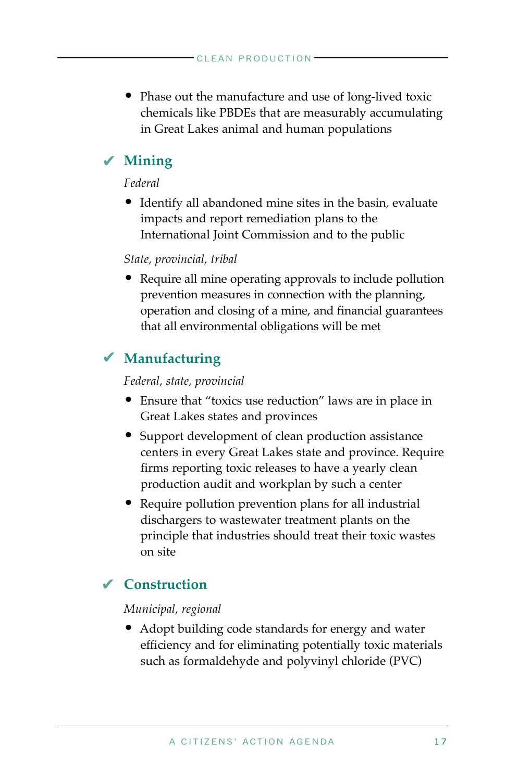• Phase out the manufacture and use of long-lived toxic chemicals like PBDEs that are measurably accumulating in Great Lakes animal and human populations

### **Mining** ✔

#### *Federal*

• Identify all abandoned mine sites in the basin, evaluate impacts and report remediation plans to the International Joint Commission and to the public

#### *State, provincial, tribal*

• Require all mine operating approvals to include pollution prevention measures in connection with the planning, operation and closing of a mine, and financial guarantees that all environmental obligations will be met

### **Manufacturing** ✔

#### *Federal, state, provincial*

- Ensure that "toxics use reduction" laws are in place in Great Lakes states and provinces
- Support development of clean production assistance centers in every Great Lakes state and province. Require firms reporting toxic releases to have a yearly clean production audit and workplan by such a center
- Require pollution prevention plans for all industrial dischargers to wastewater treatment plants on the principle that industries should treat their toxic wastes on site

### **Construction** ✔

#### *Municipal, regional*

• Adopt building code standards for energy and water efficiency and for eliminating potentially toxic materials such as formaldehyde and polyvinyl chloride (PVC)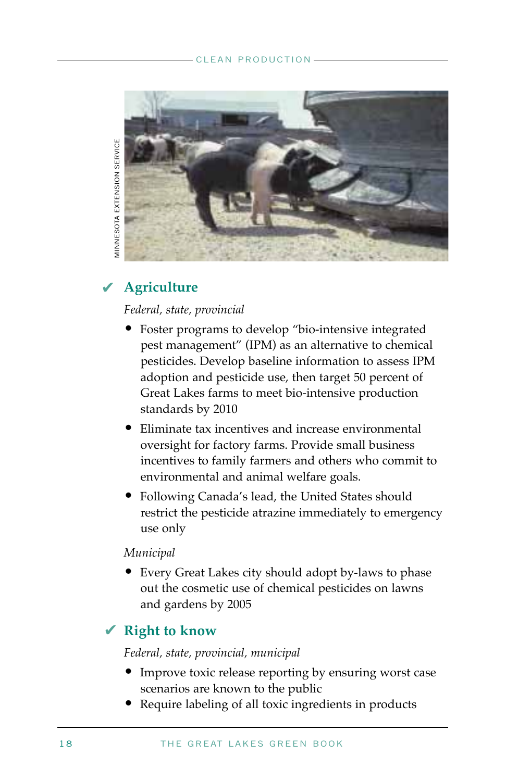#### CLEAN PRODUCTION



### **Agriculture** ✔

#### *Federal, state, provincial*

- Foster programs to develop "bio-intensive integrated pest management" (IPM) as an alternative to chemical pesticides. Develop baseline information to assess IPM adoption and pesticide use, then target 50 percent of Great Lakes farms to meet bio-intensive production standards by 2010
- Eliminate tax incentives and increase environmental oversight for factory farms. Provide small business incentives to family farmers and others who commit to environmental and animal welfare goals.
- Following Canada's lead, the United States should restrict the pesticide atrazine immediately to emergency use only

#### *Municipal*

• Every Great Lakes city should adopt by-laws to phase out the cosmetic use of chemical pesticides on lawns and gardens by 2005

### **Right to know**

#### *Federal, state, provincial, municipal*

- Improve toxic release reporting by ensuring worst case scenarios are known to the public
- Require labeling of all toxic ingredients in products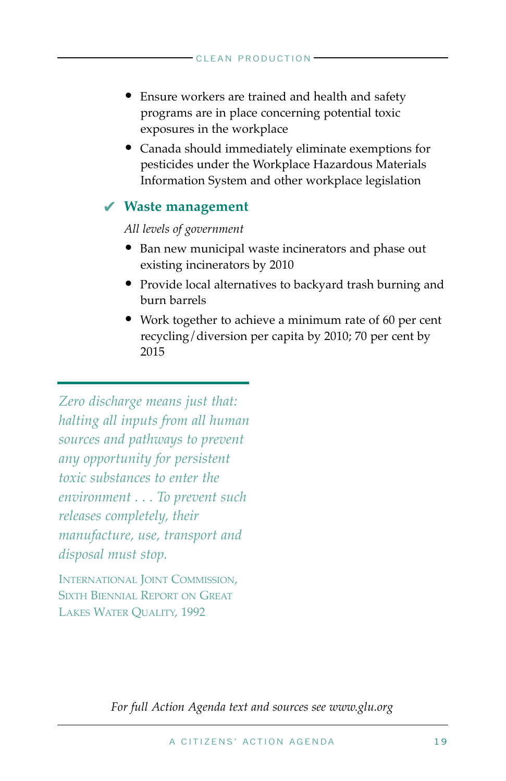- Ensure workers are trained and health and safety programs are in place concerning potential toxic exposures in the workplace
- Canada should immediately eliminate exemptions for pesticides under the Workplace Hazardous Materials Information System and other workplace legislation

### **Waste management** ✔

*All levels of government*

- Ban new municipal waste incinerators and phase out existing incinerators by 2010
- Provide local alternatives to backyard trash burning and burn barrels
- Work together to achieve a minimum rate of 60 per cent recycling/diversion per capita by 2010; 70 per cent by 2015

*Zero discharge means just that: halting all inputs from all human sources and pathways to prevent any opportunity for persistent toxic substances to enter the environment . . . To prevent such releases completely, their manufacture, use, transport and disposal must stop.* 

INTERNATIONAL JOINT COMMISSION, SIXTH BIENNIAL REPORT ON GREAT LAKES WATER QUALITY, 1992

*For full Action Agenda text and sources see www.glu.org*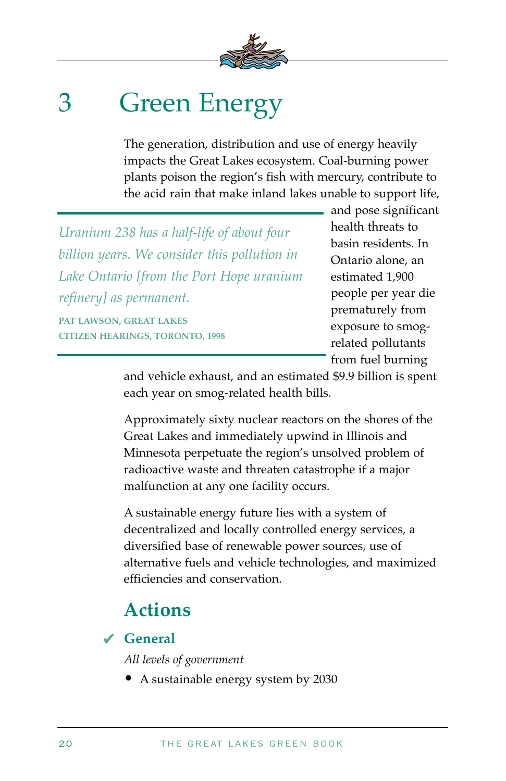

## 3 Green Energy

The generation, distribution and use of energy heavily impacts the Great Lakes ecosystem. Coal-burning power plants poison the region's fish with mercury, contribute to the acid rain that make inland lakes unable to support life,

*Uranium 238 has a half-life of about four billion years. We consider this pollution in Lake Ontario [from the Port Hope uranium refinery] as permanent.*  **PAT LAWSON, GREAT LAKES CITIZEN HEARINGS, TORONTO, 1998** 

and pose significant health threats to basin residents. In Ontario alone, an estimated 1,900 people per year die prematurely from exposure to smogrelated pollutants from fuel burning

and vehicle exhaust, and an estimated \$9.9 billion is spent each year on smog-related health bills.

Approximately sixty nuclear reactors on the shores of the Great Lakes and immediately upwind in Illinois and Minnesota perpetuate the region's unsolved problem of radioactive waste and threaten catastrophe if a major malfunction at any one facility occurs.

A sustainable energy future lies with a system of decentralized and locally controlled energy services, a diversified base of renewable power sources, use of alternative fuels and vehicle technologies, and maximized efficiencies and conservation.

### **Actions**

### **General** ✔

*All levels of government*

• A sustainable energy system by 2030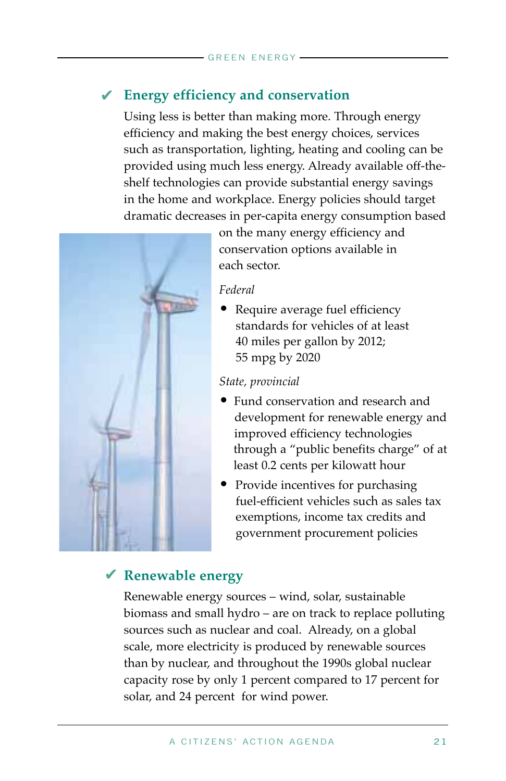### **Energy efficiency and conservation** ✔

Using less is better than making more. Through energy efficiency and making the best energy choices, services such as transportation, lighting, heating and cooling can be provided using much less energy. Already available off-theshelf technologies can provide substantial energy savings in the home and workplace. Energy policies should target dramatic decreases in per-capita energy consumption based



on the many energy efficiency and conservation options available in each sector.

#### *Federal*

• Require average fuel efficiency standards for vehicles of at least 40 miles per gallon by 2012; 55 mpg by 2020

#### *State, provincial*

- Fund conservation and research and development for renewable energy and improved efficiency technologies through a "public benefits charge" of at least 0.2 cents per kilowatt hour
- Provide incentives for purchasing fuel-efficient vehicles such as sales tax exemptions, income tax credits and government procurement policies

### **Renewable energy** ✔

Renewable energy sources – wind, solar, sustainable biomass and small hydro – are on track to replace polluting sources such as nuclear and coal. Already, on a global scale, more electricity is produced by renewable sources than by nuclear, and throughout the 1990s global nuclear capacity rose by only 1 percent compared to 17 percent for solar, and 24 percent for wind power.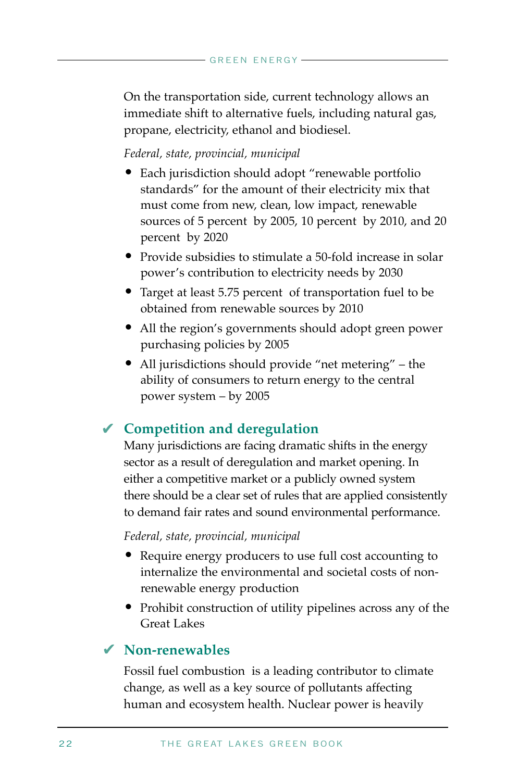On the transportation side, current technology allows an immediate shift to alternative fuels, including natural gas, propane, electricity, ethanol and biodiesel.

#### *Federal, state, provincial, municipal*

- Each jurisdiction should adopt "renewable portfolio standards" for the amount of their electricity mix that must come from new, clean, low impact, renewable sources of 5 percent by 2005, 10 percent by 2010, and 20 percent by 2020
- Provide subsidies to stimulate a 50-fold increase in solar power's contribution to electricity needs by 2030
- Target at least 5.75 percent of transportation fuel to be obtained from renewable sources by 2010
- All the region's governments should adopt green power purchasing policies by 2005
- All jurisdictions should provide "net metering" the ability of consumers to return energy to the central power system – by 2005

### **Competition and deregulation** ✔

Many jurisdictions are facing dramatic shifts in the energy sector as a result of deregulation and market opening. In either a competitive market or a publicly owned system there should be a clear set of rules that are applied consistently to demand fair rates and sound environmental performance.

#### *Federal, state, provincial, municipal*

- Require energy producers to use full cost accounting to internalize the environmental and societal costs of nonrenewable energy production
- Prohibit construction of utility pipelines across any of the Great Lakes

### **Non-renewables** ✔

Fossil fuel combustion is a leading contributor to climate change, as well as a key source of pollutants affecting human and ecosystem health. Nuclear power is heavily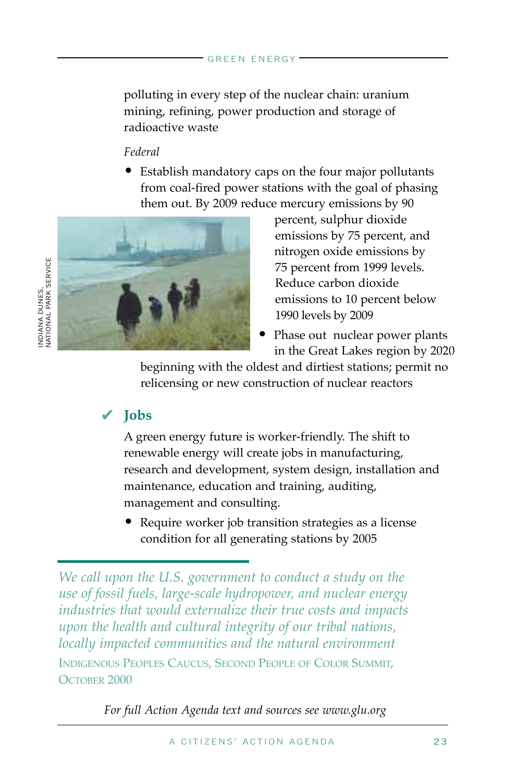polluting in every step of the nuclear chain: uranium mining, refining, power production and storage of radioactive waste

#### *Federal*

• Establish mandatory caps on the four major pollutants from coal-fired power stations with the goal of phasing them out. By 2009 reduce mercury emissions by 90



- percent, sulphur dioxide emissions by 75 percent, and nitrogen oxide emissions by 75 percent from 1999 levels. Reduce carbon dioxide emissions to 10 percent below 1990 levels by 2009
- Phase out nuclear power plants in the Great Lakes region by 2020

beginning with the oldest and dirtiest stations; permit no relicensing or new construction of nuclear reactors

### **Jobs** ✔

INDIANA DUNES,

A green energy future is worker-friendly. The shift to renewable energy will create jobs in manufacturing, research and development, system design, installation and maintenance, education and training, auditing, management and consulting.

• Require worker job transition strategies as a license condition for all generating stations by 2005

*For full Action Agenda text and sources see www.glu.org*

*We call upon the U.S. government to conduct a study on the use of fossil fuels, large-scale hydropower, and nuclear energy industries that would externalize their true costs and impacts upon the health and cultural integrity of our tribal nations, locally impacted communities and the natural environment*  INDIGENOUS PEOPLES CAUCUS, SECOND PEOPLE OF COLOR SUMMIT, OCTOBER 2000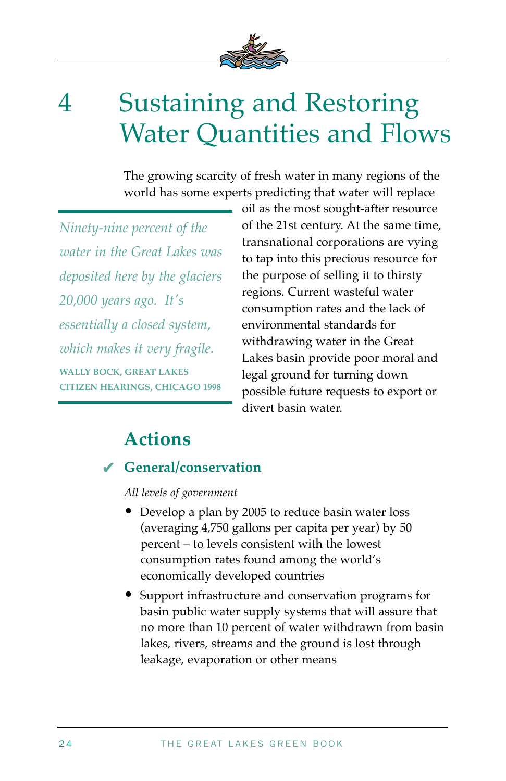

## 4 Sustaining and Restoring Water Quantities and Flows

The growing scarcity of fresh water in many regions of the world has some experts predicting that water will replace

*Ninety-nine percent of the water in the Great Lakes was deposited here by the glaciers 20,000 years ago. It's essentially a closed system, which makes it very fragile.*  **WALLY BOCK, GREAT LAKES CITIZEN HEARINGS, CHICAGO 1998** 

oil as the most sought-after resource of the 21st century. At the same time, transnational corporations are vying to tap into this precious resource for the purpose of selling it to thirsty regions. Current wasteful water consumption rates and the lack of environmental standards for withdrawing water in the Great Lakes basin provide poor moral and legal ground for turning down possible future requests to export or divert basin water.

### **Actions**

### **General/conservation** ✔

*All levels of government*

- Develop a plan by 2005 to reduce basin water loss (averaging 4,750 gallons per capita per year) by 50 percent – to levels consistent with the lowest consumption rates found among the world's economically developed countries
- Support infrastructure and conservation programs for basin public water supply systems that will assure that no more than 10 percent of water withdrawn from basin lakes, rivers, streams and the ground is lost through leakage, evaporation or other means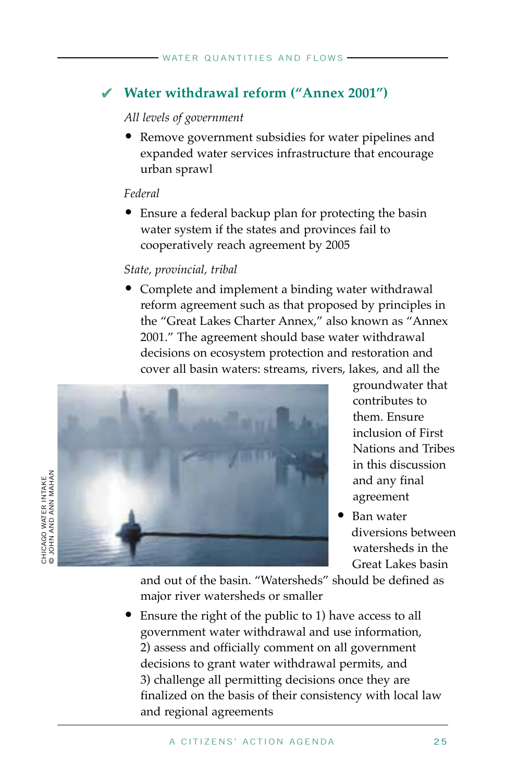### **Water withdrawal reform ("Annex 2001")** ✔

#### *All levels of government*

• Remove government subsidies for water pipelines and expanded water services infrastructure that encourage urban sprawl

#### *Federal*

• Ensure a federal backup plan for protecting the basin water system if the states and provinces fail to cooperatively reach agreement by 2005

#### *State, provincial, tribal*

• Complete and implement a binding water withdrawal reform agreement such as that proposed by principles in the "Great Lakes Charter Annex," also known as "Annex 2001." The agreement should base water withdrawal decisions on ecosystem protection and restoration and cover all basin waters: streams, rivers, lakes, and all the



groundwater that contributes to them. Ensure inclusion of First Nations and Tribes in this discussion and any final agreement

• Ban water diversions between watersheds in the Great Lakes basin

and out of the basin. "Watersheds" should be defined as major river watersheds or smaller

• Ensure the right of the public to 1) have access to all government water withdrawal and use information, 2) assess and officially comment on all government decisions to grant water withdrawal permits, and 3) challenge all permitting decisions once they are finalized on the basis of their consistency with local law and regional agreements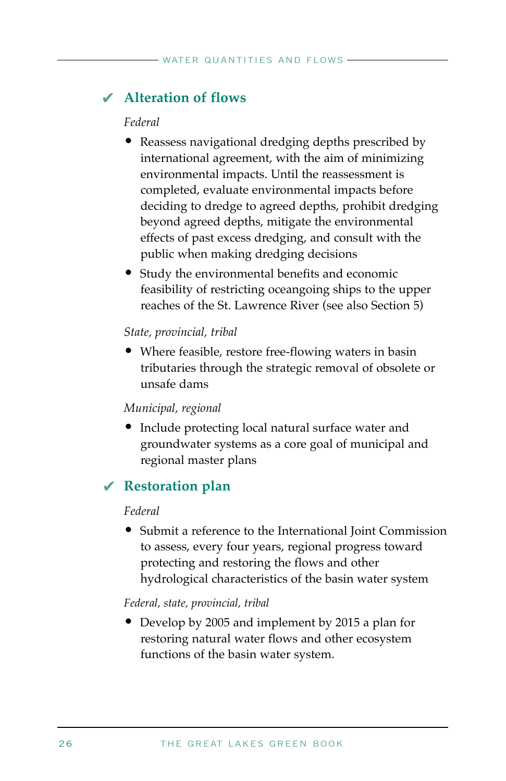### **Alteration of flows** ✔

#### *Federal*

- Reassess navigational dredging depths prescribed by international agreement, with the aim of minimizing environmental impacts. Until the reassessment is completed, evaluate environmental impacts before deciding to dredge to agreed depths, prohibit dredging beyond agreed depths, mitigate the environmental effects of past excess dredging, and consult with the public when making dredging decisions
- Study the environmental benefits and economic feasibility of restricting oceangoing ships to the upper reaches of the St. Lawrence River (see also Section 5)

#### *State, provincial, tribal*

• Where feasible, restore free-flowing waters in basin tributaries through the strategic removal of obsolete or unsafe dams

#### *Municipal, regional*

• Include protecting local natural surface water and groundwater systems as a core goal of municipal and regional master plans

### **Restoration plan** ✔

#### *Federal*

• Submit a reference to the International Joint Commission to assess, every four years, regional progress toward protecting and restoring the flows and other hydrological characteristics of the basin water system

#### *Federal, state, provincial, tribal*

• Develop by 2005 and implement by 2015 a plan for restoring natural water flows and other ecosystem functions of the basin water system.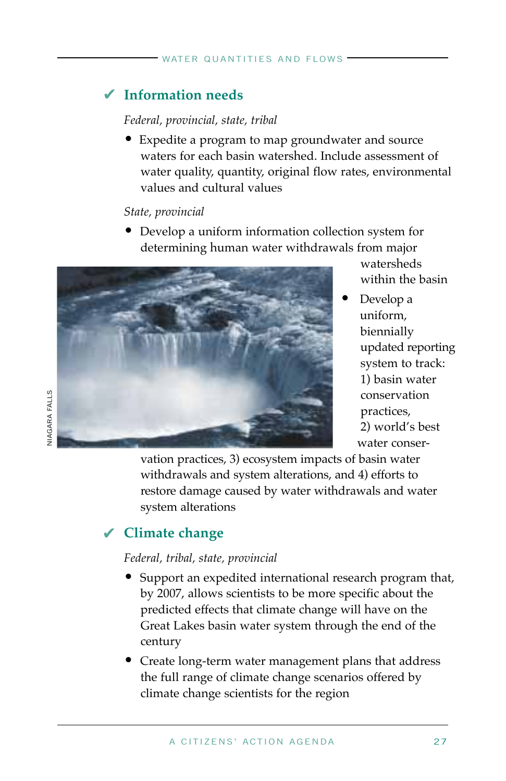### **Information needs** ✔

#### *Federal, provincial, state, tribal*

Expedite a program to map groundwater and source waters for each basin watershed. Include assessment of water quality, quantity, original flow rates, environmental values and cultural values

#### *State, provincial*

• Develop a uniform information collection system for determining human water withdrawals from major



watersheds within the basin

• Develop a uniform, biennially updated reporting system to track: 1) basin water conservation practices, 2) world's best water conser-

vation practices, 3) ecosystem impacts of basin water withdrawals and system alterations, and 4) efforts to restore damage caused by water withdrawals and water system alterations

### **Climate change** ✔

#### *Federal, tribal, state, provincial*

- Support an expedited international research program that, by 2007, allows scientists to be more specific about the predicted effects that climate change will have on the Great Lakes basin water system through the end of the century
- Create long-term water management plans that address the full range of climate change scenarios offered by climate change scientists for the region

**VIAGARA FALLS** NIAGARA FALLS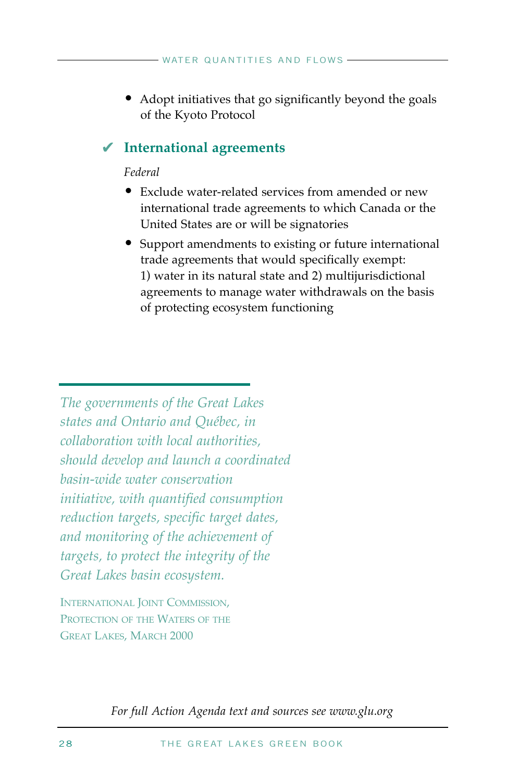• Adopt initiatives that go significantly beyond the goals of the Kyoto Protocol

### **International agreements** ✔

#### *Federal*

- Exclude water-related services from amended or new international trade agreements to which Canada or the United States are or will be signatories
- Support amendments to existing or future international trade agreements that would specifically exempt: 1) water in its natural state and 2) multijurisdictional agreements to manage water withdrawals on the basis of protecting ecosystem functioning

*The governments of the Great Lakes states and Ontario and Québec, in collaboration with local authorities, should develop and launch a coordinated basin-wide water conservation initiative, with quantified consumption reduction targets, specific target dates, and monitoring of the achievement of targets, to protect the integrity of the Great Lakes basin ecosystem.* 

INTERNATIONAL JOINT COMMISSION, PROTECTION OF THE WATERS OF THE GREAT LAKES, MARCH 2000

*For full Action Agenda text and sources see www.glu.org*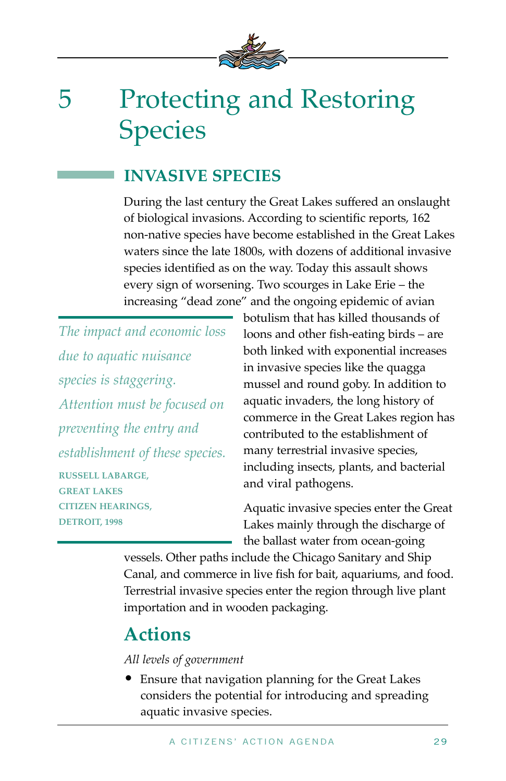

## 5 Protecting and Restoring Species

### **INVASIVE SPECIES**

During the last century the Great Lakes suffered an onslaught of biological invasions. According to scientific reports, 162 non-native species have become established in the Great Lakes waters since the late 1800s, with dozens of additional invasive species identified as on the way. Today this assault shows every sign of worsening. Two scourges in Lake Erie – the increasing "dead zone" and the ongoing epidemic of avian

*The impact and economic loss due to aquatic nuisance species is staggering. Attention must be focused on preventing the entry and establishment of these species.*  **RUSSELL LABARGE, GREAT LAKES CITIZEN HEARINGS, DETROIT, 1998** 

botulism that has killed thousands of loons and other fish-eating birds – are both linked with exponential increases in invasive species like the quagga mussel and round goby. In addition to aquatic invaders, the long history of commerce in the Great Lakes region has contributed to the establishment of many terrestrial invasive species, including insects, plants, and bacterial and viral pathogens.

Aquatic invasive species enter the Great Lakes mainly through the discharge of the ballast water from ocean-going

vessels. Other paths include the Chicago Sanitary and Ship Canal, and commerce in live fish for bait, aquariums, and food. Terrestrial invasive species enter the region through live plant importation and in wooden packaging.

### **Actions**

#### *All levels of government*

• Ensure that navigation planning for the Great Lakes considers the potential for introducing and spreading aquatic invasive species.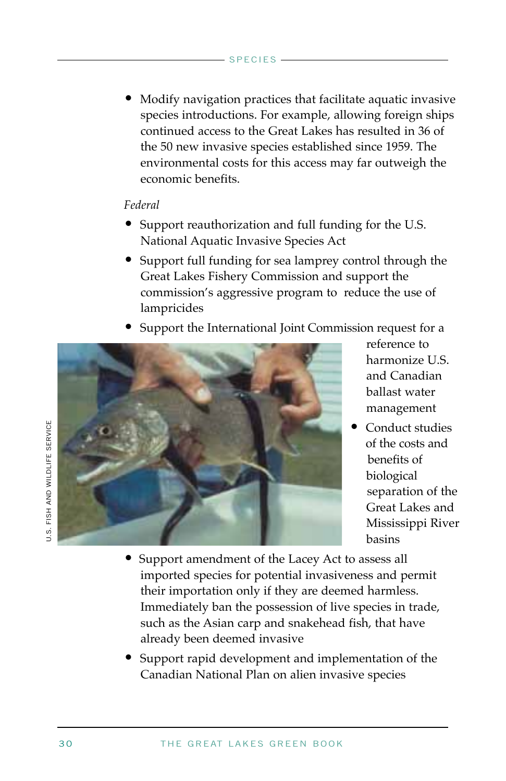• Modify navigation practices that facilitate aquatic invasive species introductions. For example, allowing foreign ships continued access to the Great Lakes has resulted in 36 of the 50 new invasive species established since 1959. The environmental costs for this access may far outweigh the economic benefits.

#### *Federal*

- Support reauthorization and full funding for the U.S. National Aquatic Invasive Species Act
- Support full funding for sea lamprey control through the Great Lakes Fishery Commission and support the commission's aggressive program to reduce the use of lampricides
- Support the International Joint Commission request for a



reference to harmonize U.S. and Canadian ballast water management

- Conduct studies of the costs and benefits of biological separation of the Great Lakes and Mississippi River basins
- Support amendment of the Lacey Act to assess all imported species for potential invasiveness and permit their importation only if they are deemed harmless. Immediately ban the possession of live species in trade, such as the Asian carp and snakehead fish, that have already been deemed invasive
- Support rapid development and implementation of the Canadian National Plan on alien invasive species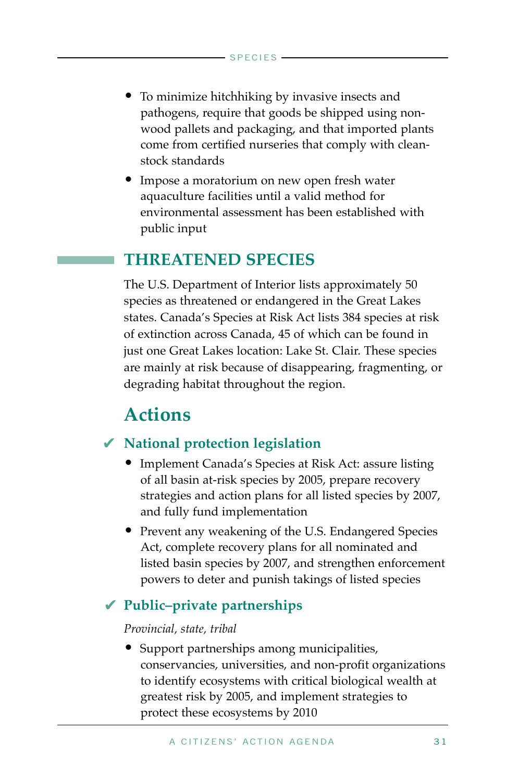- To minimize hitchhiking by invasive insects and pathogens, require that goods be shipped using nonwood pallets and packaging, and that imported plants come from certified nurseries that comply with cleanstock standards
- Impose a moratorium on new open fresh water aquaculture facilities until a valid method for environmental assessment has been established with public input

### **THREATENED SPECIES**

The U.S. Department of Interior lists approximately 50 species as threatened or endangered in the Great Lakes states. Canada's Species at Risk Act lists 384 species at risk of extinction across Canada, 45 of which can be found in just one Great Lakes location: Lake St. Clair. These species are mainly at risk because of disappearing, fragmenting, or degrading habitat throughout the region.

### **Actions**

### **National protection legislation**  ✔

- Implement Canada's Species at Risk Act: assure listing of all basin at-risk species by 2005, prepare recovery strategies and action plans for all listed species by 2007, and fully fund implementation
- Prevent any weakening of the U.S. Endangered Species Act, complete recovery plans for all nominated and listed basin species by 2007, and strengthen enforcement powers to deter and punish takings of listed species

### **Public–private partnerships** ✔

#### *Provincial, state, tribal*

• Support partnerships among municipalities, conservancies, universities, and non-profit organizations to identify ecosystems with critical biological wealth at greatest risk by 2005, and implement strategies to protect these ecosystems by 2010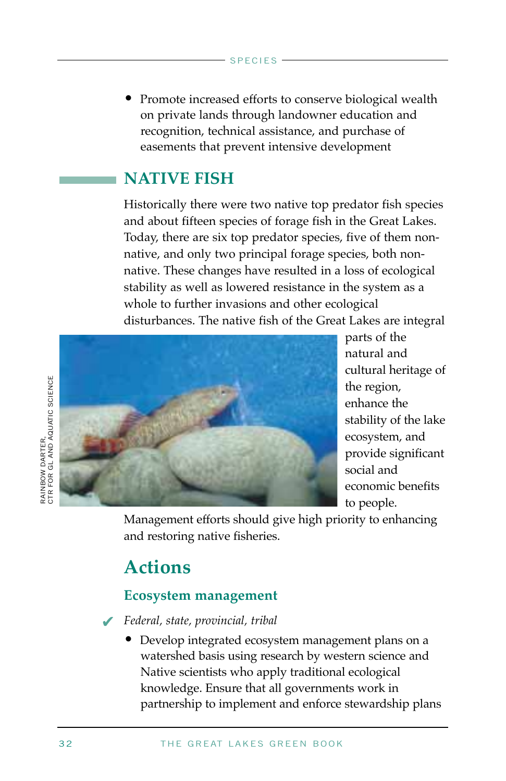• Promote increased efforts to conserve biological wealth on private lands through landowner education and recognition, technical assistance, and purchase of easements that prevent intensive development

### **NATIVE FISH**

Historically there were two native top predator fish species and about fifteen species of forage fish in the Great Lakes. Today, there are six top predator species, five of them nonnative, and only two principal forage species, both nonnative. These changes have resulted in a loss of ecological stability as well as lowered resistance in the system as a whole to further invasions and other ecological disturbances. The native fish of the Great Lakes are integral



parts of the natural and cultural heritage of the region, enhance the stability of the lake ecosystem, and provide significant social and economic benefits to people.

Management efforts should give high priority to enhancing and restoring native fisheries.

### **Actions**

### **Ecosystem management**

*Federal, state, provincial, tribal* ✔

• Develop integrated ecosystem management plans on a watershed basis using research by western science and Native scientists who apply traditional ecological knowledge. Ensure that all governments work in partnership to implement and enforce stewardship plans

RAINBOW DARTER,<br>CTR FOR GL AND AQUATIC SCIENCE CTR FOR GL AND AQUATIC SCIENCE RAINBOW DARTER,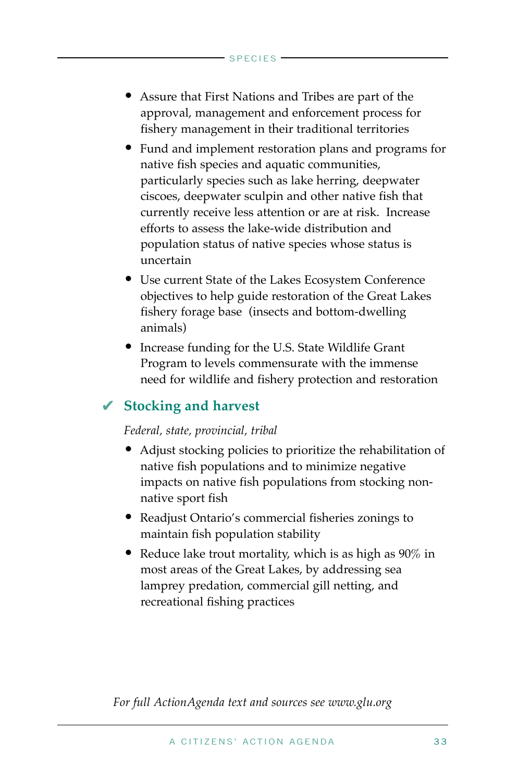- Assure that First Nations and Tribes are part of the approval, management and enforcement process for fishery management in their traditional territories
- Fund and implement restoration plans and programs for native fish species and aquatic communities, particularly species such as lake herring, deepwater ciscoes, deepwater sculpin and other native fish that currently receive less attention or are at risk. Increase efforts to assess the lake-wide distribution and population status of native species whose status is uncertain
- Use current State of the Lakes Ecosystem Conference objectives to help guide restoration of the Great Lakes fishery forage base (insects and bottom-dwelling animals)
- Increase funding for the U.S. State Wildlife Grant Program to levels commensurate with the immense need for wildlife and fishery protection and restoration

### **Stocking and harvest**  ✔

#### *Federal, state, provincial, tribal*

- Adjust stocking policies to prioritize the rehabilitation of native fish populations and to minimize negative impacts on native fish populations from stocking nonnative sport fish
- Readjust Ontario's commercial fisheries zonings to maintain fish population stability
- Reduce lake trout mortality, which is as high as 90% in most areas of the Great Lakes, by addressing sea lamprey predation, commercial gill netting, and recreational fishing practices

*For full ActionAgenda text and sources see www.glu.org*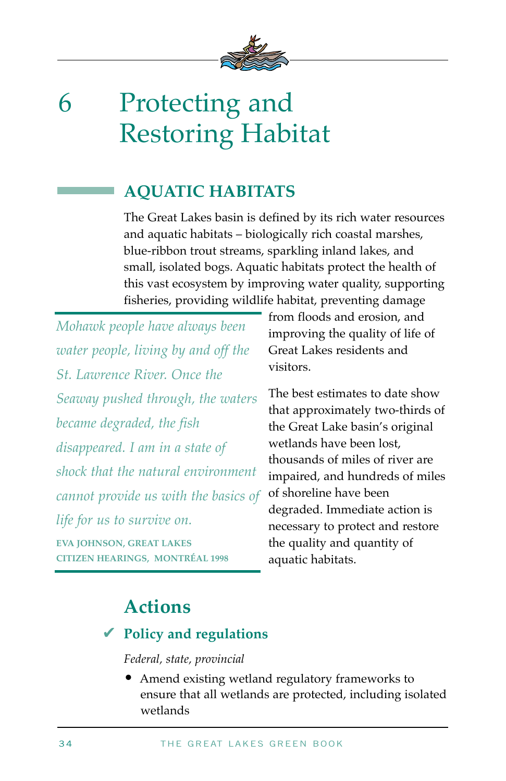

# 6 Protecting and Restoring Habitat

### **AQUATIC HABITATS**

The Great Lakes basin is defined by its rich water resources and aquatic habitats – biologically rich coastal marshes, blue-ribbon trout streams, sparkling inland lakes, and small, isolated bogs. Aquatic habitats protect the health of this vast ecosystem by improving water quality, supporting fisheries, providing wildlife habitat, preventing damage

*Mohawk people have always been water people, living by and off the St. Lawrence River. Once the Seaway pushed through, the waters became degraded, the fish disappeared. I am in a state of shock that the natural environment cannot provide us with the basics of life for us to survive on.*  **EVA JOHNSON, GREAT LAKES** 

**CITIZEN HEARINGS, MONTRÉAL 1998** 

from floods and erosion, and improving the quality of life of Great Lakes residents and visitors.

The best estimates to date show that approximately two-thirds of the Great Lake basin's original wetlands have been lost, thousands of miles of river are impaired, and hundreds of miles of shoreline have been degraded. Immediate action is necessary to protect and restore the quality and quantity of aquatic habitats.

## **Actions**

### **Policy and regulations** ✔

### *Federal, state, provincial*

• Amend existing wetland regulatory frameworks to ensure that all wetlands are protected, including isolated wetlands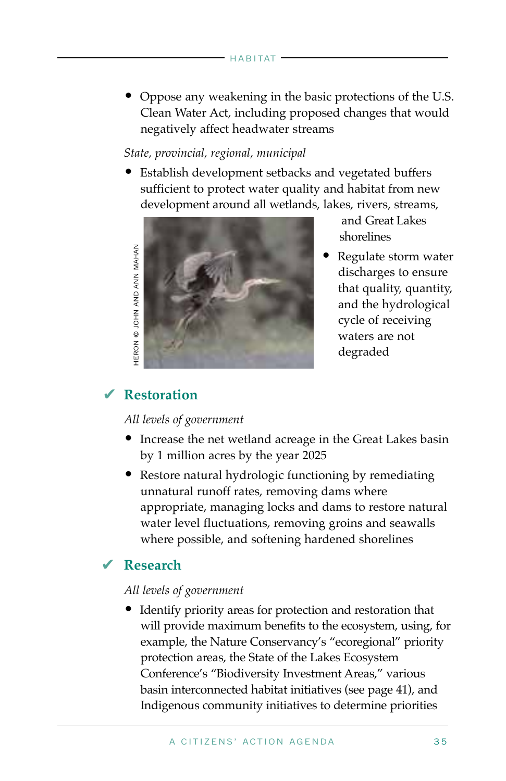• Oppose any weakening in the basic protections of the U.S. Clean Water Act, including proposed changes that would negatively affect headwater streams

#### *State, provincial, regional, municipal*

• Establish development setbacks and vegetated buffers sufficient to protect water quality and habitat from new development around all wetlands, lakes, rivers, streams,



and Great Lakes shorelines

• Regulate storm water discharges to ensure that quality, quantity, and the hydrological cycle of receiving waters are not degraded

### **Restoration** ✔

#### *All levels of government*

- Increase the net wetland acreage in the Great Lakes basin by 1 million acres by the year 2025
- Restore natural hydrologic functioning by remediating unnatural runoff rates, removing dams where appropriate, managing locks and dams to restore natural water level fluctuations, removing groins and seawalls where possible, and softening hardened shorelines

### **Research** ✔

#### *All levels of government*

• Identify priority areas for protection and restoration that will provide maximum benefits to the ecosystem, using, for example, the Nature Conservancy's "ecoregional" priority protection areas, the State of the Lakes Ecosystem Conference's "Biodiversity Investment Areas," various basin interconnected habitat initiatives (see page 41), and Indigenous community initiatives to determine priorities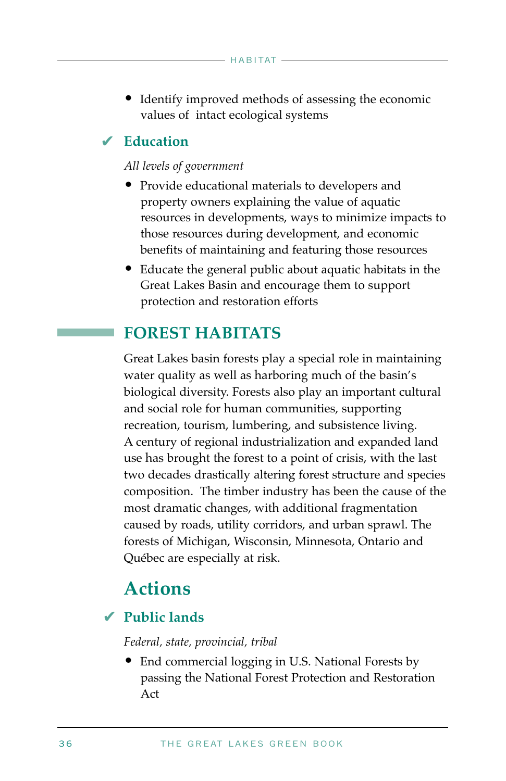• Identify improved methods of assessing the economic values of intact ecological systems

### **Education** ✔

#### *All levels of government*

- Provide educational materials to developers and property owners explaining the value of aquatic resources in developments, ways to minimize impacts to those resources during development, and economic benefits of maintaining and featuring those resources
- Educate the general public about aquatic habitats in the Great Lakes Basin and encourage them to support protection and restoration efforts

### **FOREST HABITATS**

Great Lakes basin forests play a special role in maintaining water quality as well as harboring much of the basin's biological diversity. Forests also play an important cultural and social role for human communities, supporting recreation, tourism, lumbering, and subsistence living. A century of regional industrialization and expanded land use has brought the forest to a point of crisis, with the last two decades drastically altering forest structure and species composition. The timber industry has been the cause of the most dramatic changes, with additional fragmentation caused by roads, utility corridors, and urban sprawl. The forests of Michigan, Wisconsin, Minnesota, Ontario and Québec are especially at risk.

### **Actions**

### **Public lands** ✔

#### *Federal, state, provincial, tribal*

• End commercial logging in U.S. National Forests by passing the National Forest Protection and Restoration Act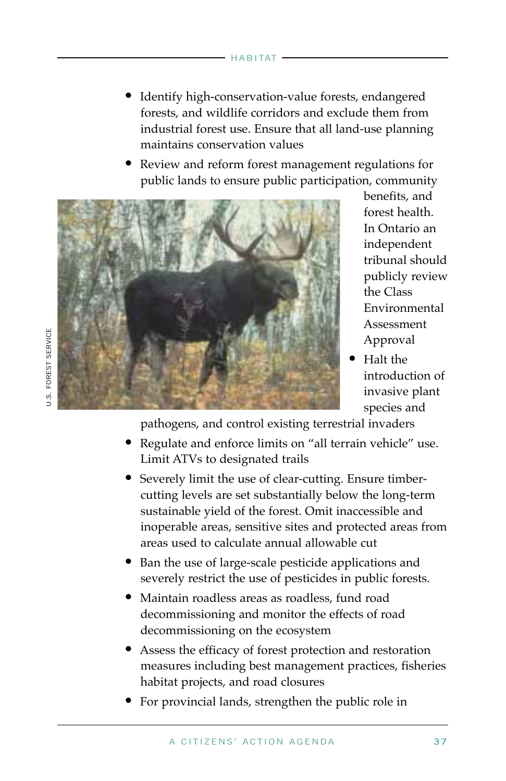- Identify high-conservation-value forests, endangered forests, and wildlife corridors and exclude them from industrial forest use. Ensure that all land-use planning maintains conservation values
- Review and reform forest management regulations for public lands to ensure public participation, community



benefits, and forest health. In Ontario an independent tribunal should publicly review the Class Environmental Assessment Approval

• Halt the introduction of invasive plant species and

pathogens, and control existing terrestrial invaders

- Regulate and enforce limits on "all terrain vehicle" use. Limit ATVs to designated trails
- Severely limit the use of clear-cutting. Ensure timbercutting levels are set substantially below the long-term sustainable yield of the forest. Omit inaccessible and inoperable areas, sensitive sites and protected areas from areas used to calculate annual allowable cut
- Ban the use of large-scale pesticide applications and severely restrict the use of pesticides in public forests.
- Maintain roadless areas as roadless, fund road decommissioning and monitor the effects of road decommissioning on the ecosystem
- Assess the efficacy of forest protection and restoration measures including best management practices, fisheries habitat projects, and road closures
- For provincial lands, strengthen the public role in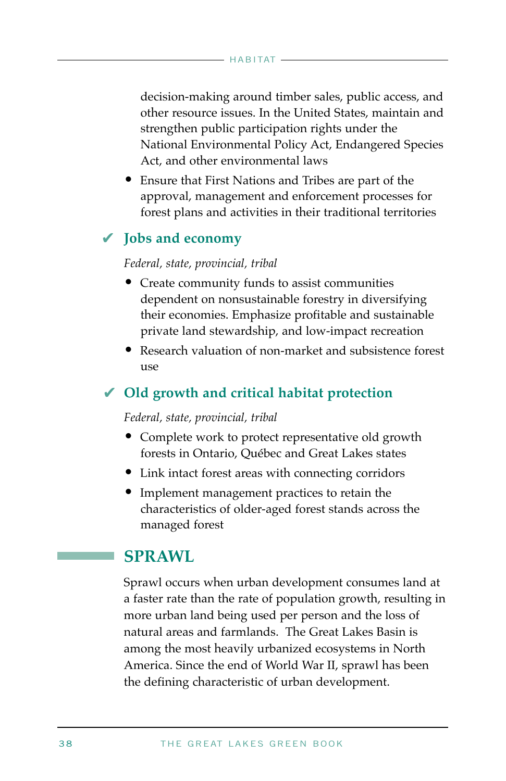decision-making around timber sales, public access, and other resource issues. In the United States, maintain and strengthen public participation rights under the National Environmental Policy Act, Endangered Species Act, and other environmental laws

• Ensure that First Nations and Tribes are part of the approval, management and enforcement processes for forest plans and activities in their traditional territories

### **Jobs and economy** ✔

#### *Federal, state, provincial, tribal*

- Create community funds to assist communities dependent on nonsustainable forestry in diversifying their economies. Emphasize profitable and sustainable private land stewardship, and low-impact recreation
- Research valuation of non-market and subsistence forest  $11S<sub>P</sub>$

### **Old growth and critical habitat protection** ✔

#### *Federal, state, provincial, tribal*

- Complete work to protect representative old growth forests in Ontario, Québec and Great Lakes states
- Link intact forest areas with connecting corridors
- Implement management practices to retain the characteristics of older-aged forest stands across the managed forest

### **SPRAWL**

Sprawl occurs when urban development consumes land at a faster rate than the rate of population growth, resulting in more urban land being used per person and the loss of natural areas and farmlands. The Great Lakes Basin is among the most heavily urbanized ecosystems in North America. Since the end of World War II, sprawl has been the defining characteristic of urban development.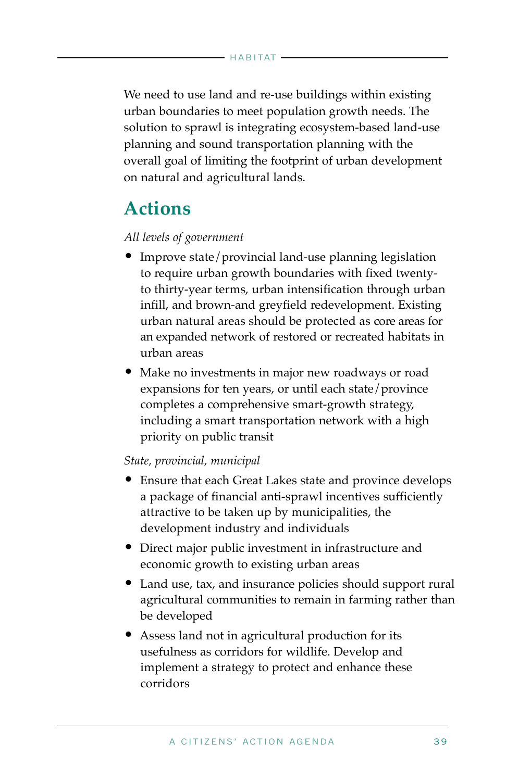We need to use land and re-use buildings within existing urban boundaries to meet population growth needs. The solution to sprawl is integrating ecosystem-based land-use planning and sound transportation planning with the overall goal of limiting the footprint of urban development on natural and agricultural lands.

### **Actions**

#### *All levels of government*

- Improve state/provincial land-use planning legislation to require urban growth boundaries with fixed twentyto thirty-year terms, urban intensification through urban infill, and brown-and greyfield redevelopment. Existing urban natural areas should be protected as core areas for an expanded network of restored or recreated habitats in urban areas
- Make no investments in major new roadways or road expansions for ten years, or until each state/province completes a comprehensive smart-growth strategy, including a smart transportation network with a high priority on public transit

#### *State, provincial, municipal*

- Ensure that each Great Lakes state and province develops a package of financial anti-sprawl incentives sufficiently attractive to be taken up by municipalities, the development industry and individuals
- Direct major public investment in infrastructure and economic growth to existing urban areas
- Land use, tax, and insurance policies should support rural agricultural communities to remain in farming rather than be developed
- Assess land not in agricultural production for its usefulness as corridors for wildlife. Develop and implement a strategy to protect and enhance these corridors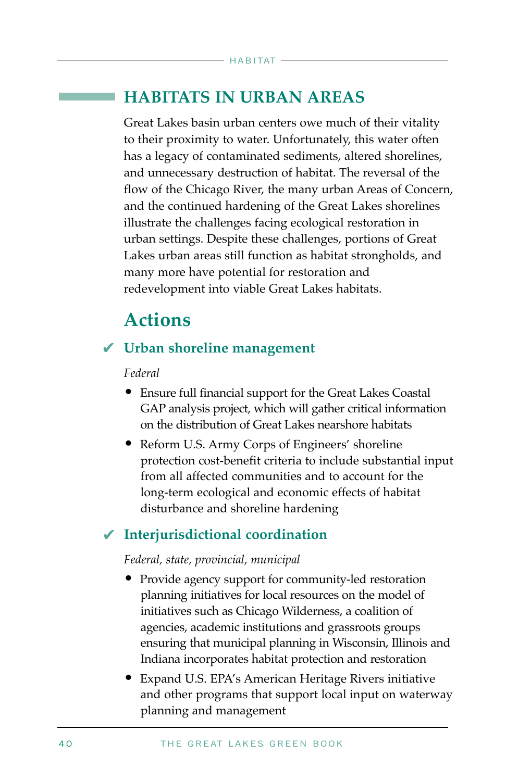### **HABITATS IN URBAN AREAS**

Great Lakes basin urban centers owe much of their vitality to their proximity to water. Unfortunately, this water often has a legacy of contaminated sediments, altered shorelines, and unnecessary destruction of habitat. The reversal of the flow of the Chicago River, the many urban Areas of Concern, and the continued hardening of the Great Lakes shorelines illustrate the challenges facing ecological restoration in urban settings. Despite these challenges, portions of Great Lakes urban areas still function as habitat strongholds, and many more have potential for restoration and redevelopment into viable Great Lakes habitats.

### **Actions**

### **Urban shoreline management** ✔

#### *Federal*

- Ensure full financial support for the Great Lakes Coastal GAP analysis project, which will gather critical information on the distribution of Great Lakes nearshore habitats
- Reform U.S. Army Corps of Engineers' shoreline protection cost-benefit criteria to include substantial input from all affected communities and to account for the long-term ecological and economic effects of habitat disturbance and shoreline hardening

### **Interjurisdictional coordination**  ✔

#### *Federal, state, provincial, municipal*

- Provide agency support for community-led restoration planning initiatives for local resources on the model of initiatives such as Chicago Wilderness, a coalition of agencies, academic institutions and grassroots groups ensuring that municipal planning in Wisconsin, Illinois and Indiana incorporates habitat protection and restoration
- Expand U.S. EPA's American Heritage Rivers initiative and other programs that support local input on waterway planning and management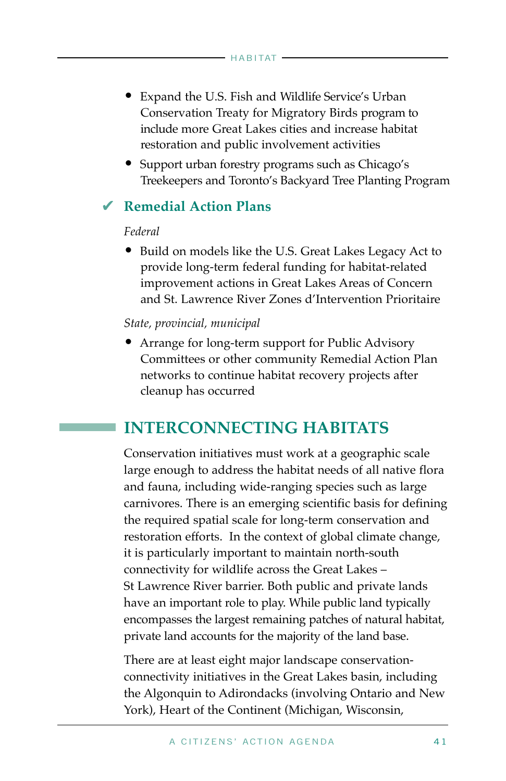- Expand the U.S. Fish and Wildlife Service's Urban Conservation Treaty for Migratory Birds program to include more Great Lakes cities and increase habitat restoration and public involvement activities
- Support urban forestry programs such as Chicago's Treekeepers and Toronto's Backyard Tree Planting Program

### **Remedial Action Plans**  ✔

#### *Federal*

• Build on models like the U.S. Great Lakes Legacy Act to provide long-term federal funding for habitat-related improvement actions in Great Lakes Areas of Concern and St. Lawrence River Zones d'Intervention Prioritaire

#### *State, provincial, municipal*

• Arrange for long-term support for Public Advisory Committees or other community Remedial Action Plan networks to continue habitat recovery projects after cleanup has occurred

### **INTERCONNECTING HABITATS**

Conservation initiatives must work at a geographic scale large enough to address the habitat needs of all native flora and fauna, including wide-ranging species such as large carnivores. There is an emerging scientific basis for defining the required spatial scale for long-term conservation and restoration efforts. In the context of global climate change, it is particularly important to maintain north-south connectivity for wildlife across the Great Lakes – St Lawrence River barrier. Both public and private lands have an important role to play. While public land typically encompasses the largest remaining patches of natural habitat, private land accounts for the majority of the land base.

There are at least eight major landscape conservationconnectivity initiatives in the Great Lakes basin, including the Algonquin to Adirondacks (involving Ontario and New York), Heart of the Continent (Michigan, Wisconsin,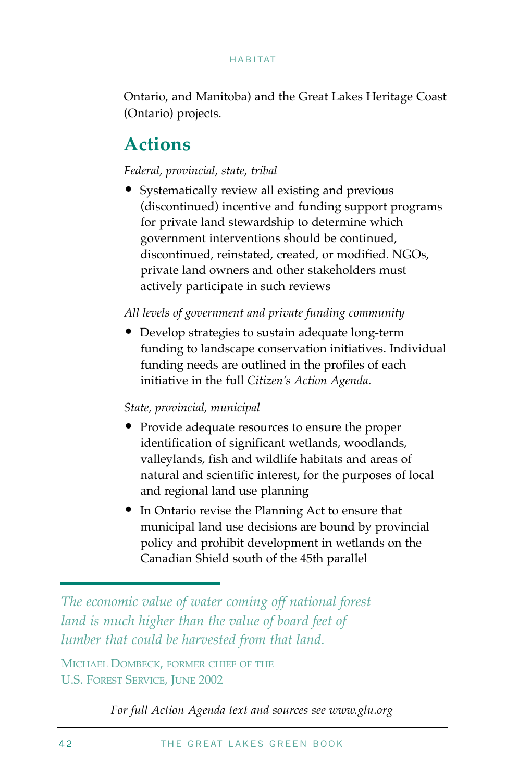Ontario, and Manitoba) and the Great Lakes Heritage Coast (Ontario) projects.

### **Actions**

#### *Federal, provincial, state, tribal*

• Systematically review all existing and previous (discontinued) incentive and funding support programs for private land stewardship to determine which government interventions should be continued, discontinued, reinstated, created, or modified. NGOs, private land owners and other stakeholders must actively participate in such reviews

#### *All levels of government and private funding community*

• Develop strategies to sustain adequate long-term funding to landscape conservation initiatives. Individual funding needs are outlined in the profiles of each initiative in the full *Citizen's Action Agenda*.

#### *State, provincial, municipal*

- Provide adequate resources to ensure the proper identification of significant wetlands, woodlands, valleylands, fish and wildlife habitats and areas of natural and scientific interest, for the purposes of local and regional land use planning
- In Ontario revise the Planning Act to ensure that municipal land use decisions are bound by provincial policy and prohibit development in wetlands on the Canadian Shield south of the 45th parallel

*The economic value of water coming off national forest land is much higher than the value of board feet of lumber that could be harvested from that land.* 

MICHAEL DOMBECK, FORMER CHIEF OF THE U.S. FOREST SERVICE, JUNE 2002

*For full Action Agenda text and sources see www.glu.org*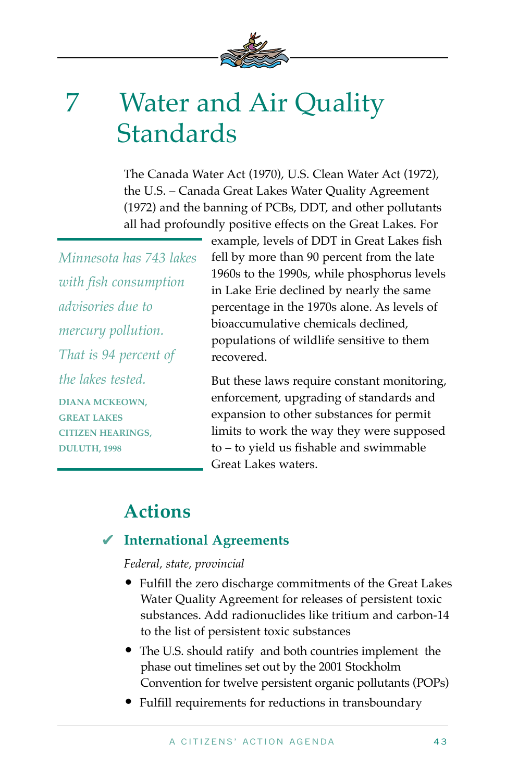

## 7 Water and Air Quality Standards

The Canada Water Act (1970), U.S. Clean Water Act (1972), the U.S. – Canada Great Lakes Water Quality Agreement (1972) and the banning of PCBs, DDT, and other pollutants all had profoundly positive effects on the Great Lakes. For

*Minnesota has 743 lakes with fish consumption advisories due to mercury pollution. That is 94 percent of the lakes tested.*  **DIANA MCKEOWN, GREAT LAKES CITIZEN HEARINGS, DULUTH, 1998** 

example, levels of DDT in Great Lakes fish fell by more than 90 percent from the late 1960s to the 1990s, while phosphorus levels in Lake Erie declined by nearly the same percentage in the 1970s alone. As levels of bioaccumulative chemicals declined, populations of wildlife sensitive to them recovered.

But these laws require constant monitoring, enforcement, upgrading of standards and expansion to other substances for permit limits to work the way they were supposed to – to yield us fishable and swimmable Great Lakes waters.

### **Actions**

### **International Agreements** ✔

#### *Federal, state, provincial*

- Fulfill the zero discharge commitments of the Great Lakes Water Quality Agreement for releases of persistent toxic substances. Add radionuclides like tritium and carbon-14 to the list of persistent toxic substances
- The U.S. should ratify and both countries implement the phase out timelines set out by the 2001 Stockholm Convention for twelve persistent organic pollutants (POPs)
- Fulfill requirements for reductions in transboundary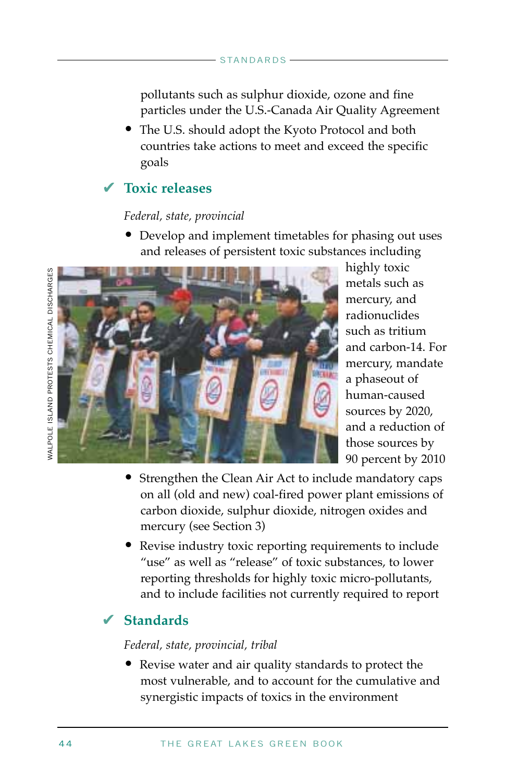pollutants such as sulphur dioxide, ozone and fine particles under the U.S.-Canada Air Quality Agreement

• The U.S. should adopt the Kyoto Protocol and both countries take actions to meet and exceed the specific goals

### **Toxic releases** ✔

#### *Federal, state, provincial*

• Develop and implement timetables for phasing out uses and releases of persistent toxic substances including



highly toxic metals such as mercury, and radionuclides such as tritium and carbon-14. For mercury, mandate a phaseout of human-caused sources by 2020, and a reduction of those sources by 90 percent by 2010

- Strengthen the Clean Air Act to include mandatory caps on all (old and new) coal-fired power plant emissions of carbon dioxide, sulphur dioxide, nitrogen oxides and mercury (see Section 3)
- Revise industry toxic reporting requirements to include "use" as well as "release" of toxic substances, to lower reporting thresholds for highly toxic micro-pollutants, and to include facilities not currently required to report

### **Standards**  ✔

#### *Federal, state, provincial, tribal*

• Revise water and air quality standards to protect the most vulnerable, and to account for the cumulative and synergistic impacts of toxics in the environment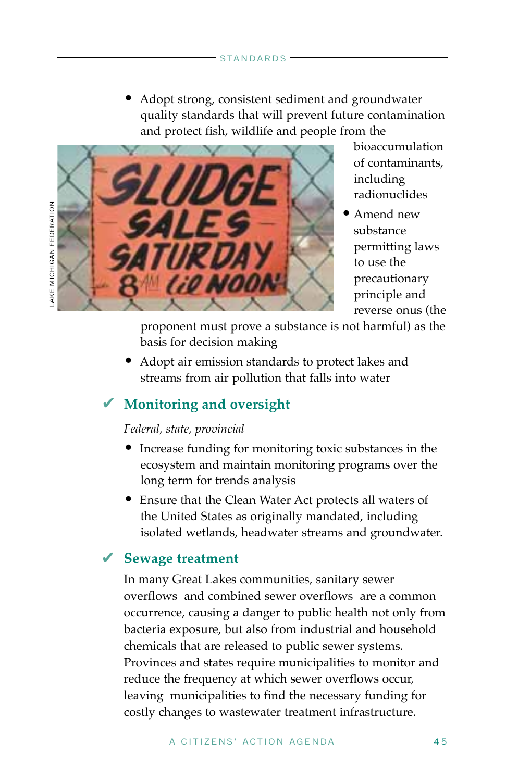• Adopt strong, consistent sediment and groundwater quality standards that will prevent future contamination and protect fish, wildlife and people from the



bioaccumulation of contaminants, including radionuclides

• Amend new substance permitting laws to use the precautionary principle and reverse onus (the

proponent must prove a substance is not harmful) as the basis for decision making

• Adopt air emission standards to protect lakes and streams from air pollution that falls into water

### **Monitoring and oversight** ✔

#### *Federal, state, provincial*

- Increase funding for monitoring toxic substances in the ecosystem and maintain monitoring programs over the long term for trends analysis
- Ensure that the Clean Water Act protects all waters of the United States as originally mandated, including isolated wetlands, headwater streams and groundwater.

### **Sewage treatment** ✔

In many Great Lakes communities, sanitary sewer overflows and combined sewer overflows are a common occurrence, causing a danger to public health not only from bacteria exposure, but also from industrial and household chemicals that are released to public sewer systems. Provinces and states require municipalities to monitor and reduce the frequency at which sewer overflows occur, leaving municipalities to find the necessary funding for costly changes to wastewater treatment infrastructure.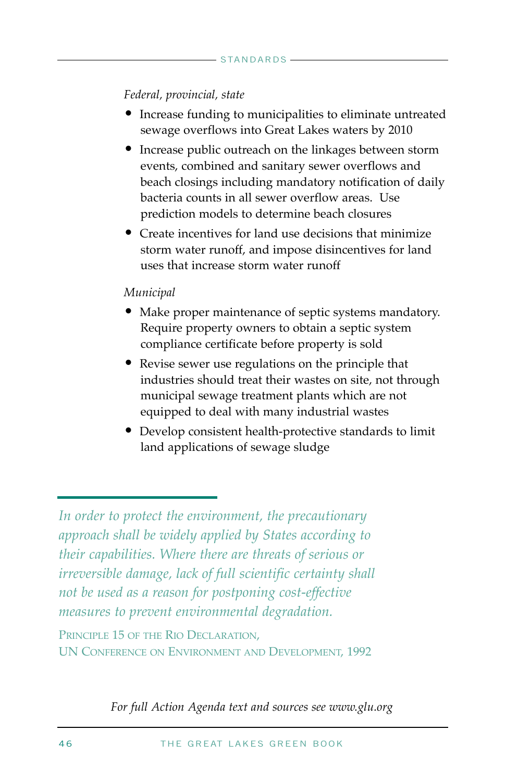#### *Federal, provincial, state*

- Increase funding to municipalities to eliminate untreated sewage overflows into Great Lakes waters by 2010
- Increase public outreach on the linkages between storm events, combined and sanitary sewer overflows and beach closings including mandatory notification of daily bacteria counts in all sewer overflow areas. Use prediction models to determine beach closures
- Create incentives for land use decisions that minimize storm water runoff, and impose disincentives for land uses that increase storm water runoff

#### *Municipal*

- Make proper maintenance of septic systems mandatory. Require property owners to obtain a septic system compliance certificate before property is sold
- Revise sewer use regulations on the principle that industries should treat their wastes on site, not through municipal sewage treatment plants which are not equipped to deal with many industrial wastes
- Develop consistent health-protective standards to limit land applications of sewage sludge

PRINCIPLE 15 OF THE RIO DECLARATION, UN CONFERENCE ON ENVIRONMENT AND DEVELOPMENT, 1992

*For full Action Agenda text and sources see www.glu.org*

*In order to protect the environment, the precautionary approach shall be widely applied by States according to their capabilities. Where there are threats of serious or irreversible damage, lack of full scientific certainty shall not be used as a reason for postponing cost-effective measures to prevent environmental degradation.*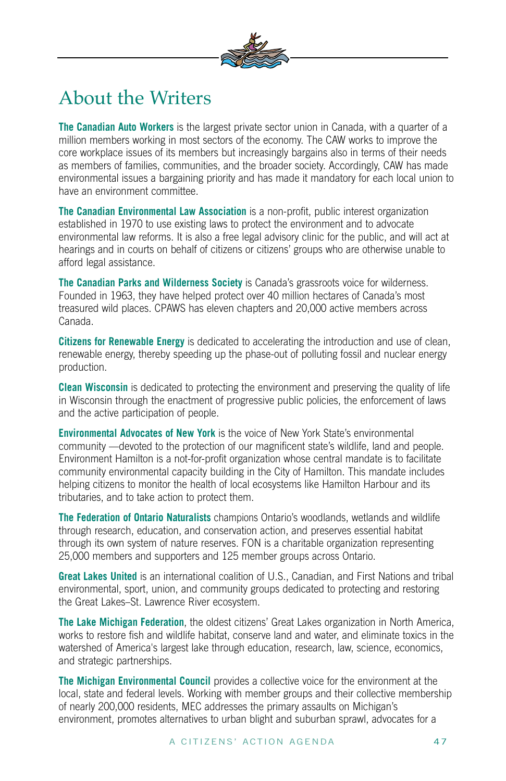

### About the Writers

**The Canadian Auto Workers** is the largest private sector union in Canada, with a quarter of a million members working in most sectors of the economy. The CAW works to improve the core workplace issues of its members but increasingly bargains also in terms of their needs as members of families, communities, and the broader society. Accordingly, CAW has made environmental issues a bargaining priority and has made it mandatory for each local union to have an environment committee.

**The Canadian Environmental Law Association** is a non-profit, public interest organization established in 1970 to use existing laws to protect the environment and to advocate environmental law reforms. It is also a free legal advisory clinic for the public, and will act at hearings and in courts on behalf of citizens or citizens' groups who are otherwise unable to afford legal assistance.

**The Canadian Parks and Wilderness Society** is Canada's grassroots voice for wilderness. Founded in 1963, they have helped protect over 40 million hectares of Canada's most treasured wild places. CPAWS has eleven chapters and 20,000 active members across Canada.

**Citizens for Renewable Energy** is dedicated to accelerating the introduction and use of clean, renewable energy, thereby speeding up the phase-out of polluting fossil and nuclear energy production.

**Clean Wisconsin** is dedicated to protecting the environment and preserving the quality of life in Wisconsin through the enactment of progressive public policies, the enforcement of laws and the active participation of people.

**Environmental Advocates of New York** is the voice of New York State's environmental community —devoted to the protection of our magnificent state's wildlife, land and people. Environment Hamilton is a not-for-profit organization whose central mandate is to facilitate community environmental capacity building in the City of Hamilton. This mandate includes helping citizens to monitor the health of local ecosystems like Hamilton Harbour and its tributaries, and to take action to protect them.

**The Federation of Ontario Naturalists** champions Ontario's woodlands, wetlands and wildlife through research, education, and conservation action, and preserves essential habitat through its own system of nature reserves. FON is a charitable organization representing 25,000 members and supporters and 125 member groups across Ontario.

**Great Lakes United** is an international coalition of U.S., Canadian, and First Nations and tribal environmental, sport, union, and community groups dedicated to protecting and restoring the Great Lakes–St. Lawrence River ecosystem.

**The Lake Michigan Federation**, the oldest citizens' Great Lakes organization in North America, works to restore fish and wildlife habitat, conserve land and water, and eliminate toxics in the watershed of America's largest lake through education, research, law, science, economics, and strategic partnerships.

**The Michigan Environmental Council** provides a collective voice for the environment at the local, state and federal levels. Working with member groups and their collective membership of nearly 200,000 residents, MEC addresses the primary assaults on Michigan's environment, promotes alternatives to urban blight and suburban sprawl, advocates for a